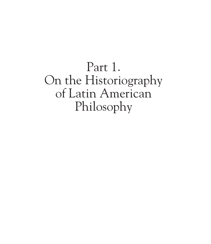# Part 1. On the Historiography of Latin American Philosophy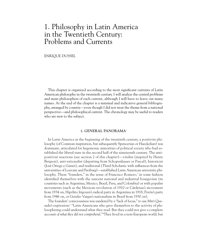# 1. Philosophy in Latin America in the Twentieth Century: Problems and Currents

ENRIQUE DUSSEL

This chapter is organized according to the most significant currents of Latin American philosophy in the twentieth century. I will analyze the central problems and main philosophers of each current, although I will have to leave out many names. At the end of the chapter is a minimal and indicative general bibliography, arranged by country—even though I did not treat the theme from a national perspective—and philosophical current. The chronology may be useful to readers who are new to the subject.

#### **1. GENERAL PANORAMA**<sup>1</sup>

In Latin America at the beginning of the twentieth century, a positivist philosophy (of Comtean inspiration, but subsequently Spencerian or Haeckelian) was dominant, articulated for hegemonic minorities of political society who had established the liberal state in the second half of the nineteenth century. The antipositivist reactions (see section 2 of this chapter)—vitalist (inspired by Henry Bergson), anti-rationalist (departing from Schopenhauer or Pascal), historicist (José Ortega y Gasset), and traditional (Third Scholastic with influences from the universities of Louvain and Freiburg)—established Latin American university philosophy. These "founders," in the sense of Francisco Romero,<sup>2</sup> in some fashion identified themselves with the nascent national and industrial bourgeoisie (in countries such as Argentina, Mexico, Brazil, Peru, and Colombia) or with populist movements (such as the Mexican revolution of 1910 or Cárdenas's movement from 1934 on, Hipólito Irigoyen's radical party in Argentina in 1918, Perón's party from 1946 on, or Getulio Vargas's nationalism in Brazil from 1930 on).

The founders' consciousness was sundered by a "lack of focus," to use Miró Quesada's expression:<sup>3</sup> "Latin Americans who gave themselves to the activity of philosophizing could understand what they read. But they could not give a complete account *of what they did not comprehend.*"4 They lived in a non-European world, but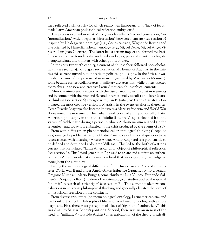they reflected a philosophy for which reality was European. This "lack of focus" made Latin American philosophical reflection ambiguous.<sup>5</sup>

The process evolved in what Miró Quesada called a "second generation,"6 or "normalization," which began a "bifurcation" between a current (see section 3) inspired by Heideggerian ontology (e.g., Carlos Astrada, Wagner de Reyna) and one oriented by Husserlian phenomenology (e.g., Miguel Reale, Miguel Angel Virasoro, Luis Juan Guerrero). The latter had a certain impact and formed the basis for a school whose founders also included axiologists, personalist anthropologists, metaphysicians, and thinkers with other points of view.

In the early twentieth century, a current of philosophers followed neo-scholasticism (see section 4), through a revalorization of Thomas of Aquinas; in the thirties this current turned nationalistic in political philosophy. In the fifties, it was divided because of the personalist movement (inspired by Maritain or Mounier); some became earnest collaborators in military dictatorships, while others opened themselves up to new and creative Latin American philosophical currents.

After the nineteenth century, with the rise of anarcho-syndicalist movements and in contact with the First and Second Internationals, socialist and, later, Marxist thinking (see section 5) emerged with Juan B. Justo. José Carlos Mariátegui formulated the most creative version of Marxism in the twenties; shortly thereafter, Cesar Guardia Mayorga also became known as a Marxist; frontism and World War II weakened the movement. The Cuban revolution had an impact on all of Latin American philosophy in the sixties; Adolfo Sánchez Vázquez elevated it to the stature of problematic during a period in which Althusserianism reigned (in the seventies); and today it is embattled in the crisis produced by the events of 1989.

From within Husserlian phenomenological or ontological thinking (Leopoldo Zea) emerged a problematization of Latin America as a historical question to be reconstructed with meaning (Arturo Ardao, Arturo Roig) and as a problematic to be defined and developed (Abelardo Villegas). This led to the birth of a strong current that formulated "Latin America" as an object of philosophical reflection (see section 6). This "third generation," pressed to create and confirm an authentic Latin American identity, formed a school that was vigorously promulgated throughout the continent.

Facing the methodological difficulties of the Husserlian and Marxist currents after World War II and under Anglo-Saxon influence (Francisco Miró Quesada, Gregorio Klimoski, Mario Bunge), some thinkers (Luis Villoro, Fernando Salmerón, Alejandro Rossi) undertook epistemological studies and philosophical "analysis" in search of "strict rigor" (see section 7) . This current made new contributions in universal philosophical thinking and generally elevated the level of philosophical precision on the continent.

From diverse tributaries (phenomenological ontology, Latinamericanism, and the Frankfurt School), philosophy of liberation was born, coinciding with a triple diagnostic. First, there was a perception of a lack of "rigor" and "authenticity" (this was Augusto Salazar Bondy's position). Second, there was an awareness of the need for "militancy" (Osvaldo Ardiles) as an articulation of the theory-praxis di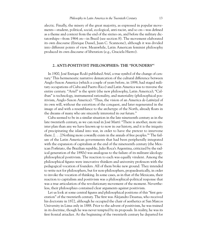alectic. Finally, the misery of the great majority, as expressed in popular movements—student, political, social, ecological, anti-racist, and so on—was defined as a theme and context from the end of the sixties on, and before the military dictatorships—from 1964 on—in Brazil (see section 8). The movement elaborated its own discourse (Enrique Dussel, Juan C. Scannone), although it was divided into different points of view. Meanwhile, Latin American feminist philosophy produced its own discourse of liberation (e.g., Graciela Hierro).

#### **2. ANTI-POSITIVIST PHILOSOPHIES: THE "FOUNDERS"**<sup>7</sup>

In 1900, José Enrique Rodó published *Ariel*, a true symbol of the change of century.8 This hermeneutic narrative demarcation of the cultural difference between Anglo-Saxon America (which a couple of years before, in 1898, had staged military occupations of Cuba and Puerto Rico) and Latin America was to traverse the entire century. "Ariel" is the spirit (the new philosophy, Latin America); "Caliban" is technology, instrumental rationality, and materiality (philosophical positivism, Anglo-Saxon America): "Thus, the vision of an America *de-Latinized* of its own will, without the extortion of the conquest, and later regenerated in the image of and with a resemblance to the archetype of the North, already floats in the dreams of many who are sincerely interested in our future."

Cuba seemed to be in a similar situation in the late nineteenth century as in the late twentieth century, as we can read in José Martí: "There is another, more sinister plan than any we have known up to now in our history, and it is the iniquity of precipitating the island into war, in order to have the pretext to intervene there. [ . . . ] Nothing more cowardly exists in the annals of free peoples."9 The failure of the Latin American governments that had been peripherally integrated with the expansion of capitalism at the end of the nineteenth century (the Mexican Porfiriato, the Brazilian republic, Julio Roca's Argentina, criticized by the radical generation of the 1890s) was analogous to the failure of its militant ideology: philosophical positivism. The reaction to each was equally virulent. Among the philosophical figures were innovative thinkers and university professors with the pedagogical vocation of founders. All of them broke new ground. They intended to write not for philosophers, but for non-philosophers, propaedeutically, in order to invoke the vocation of thinking. In some cases, as in that of the Mexicans, their reaction to capitalism and positivism was a philosophical-political response that was a true articulation of the revolutionary movement of the moment. Nevertheless, their philosophies contained clear arguments against positivism.

Let us look at some central figures and philosophical positions of this "first generation" of the twentieth century. The first was Alejandro Deustua, who received his doctorate in 1872, although he occupied the chair of aesthetics at San Marcos University in Lima only in 1888. Prior to the advent of positivism, he was trained in its doctrine, though he was never tempted by its proposals. In reality, he was its first frontal attacker. At the beginning of the twentieth century he departed for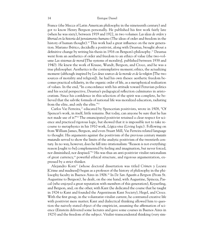France (the Mecca of Latin American philosophy in the nineteenth century) and got to know Henry Bergson personally. He published his first work fairly late (when he was sixty), between 1919 and 1922, in two volumes: *Las ideas de orden y libertad en la historia del pensiamento humano* (The ideas of order and freedom in the history of human thought).<sup>10</sup> This work had a great influence on the new generation. Mariano Ibérico, decidedly a positivist, along with Deustua, brought about a definitive change by writing his thesis in 1916 on Bergson's philosophy*.* <sup>11</sup> Deustua went from an aesthetics of order and freedom to an ethics of value (the two-volume *Las sistemas de moral* [The systems of morality]*,* published between 1938 and 1940). He knew the work of Krause, Wundt, Bergson, and Croce, and he was a true philosopher. Aesthetics is the contemplative moment; ethics, the actualizing moment (although inspired by *Les deux sources de la morale et de la religion* [The two sources of morality and religion])*,* he had his own theses: aesthetic freedom becomes practical solidarity, in the organic order of life, as a metaphysical realization of values. In the end, "In concordance with his attitude toward Peruvian politics and his social perspective, Deustua's pedagogical reflection culminates in aristocratism. Since his confidence in this selection of the spirit was complete, he believed that the salvific formula of national life was moralized education, radiating from the elite, and only the elite."12

Carlos Vaz Ferreira,<sup>13</sup> educated by Spencerian positivists, wrote in 1908, "Of Spencer's work, in itself, little remains. But today, can anyone be sure that he has not made use of it?"14 The emancipated positivist retained a clear respect for science and practiced rigorous logic, but showed that it is impossible not to take recourse to metaphysics in his 1910 work, *Lógica viva* (Living logic)*.* Following on from William James, Bergson, and even Stuart Mill, Vaz Ferreira related language to thought. His arguments against the positivism of the previous century *mutatis mutandis* served to show the limits of the analytic positivism of the twentieth century. In no way, however, does he fall into irrationalism: "Reason is not everything: reason [ought to be] complemented by feeling and imagination, but never forced, nor diminished, nor despised."15 His was thus an anti-positivist vitalist rationalism of great currency,<sup>16</sup> powerful ethical structure, and rigorous argumentation, expressed by a strict thinker.

Alejandro Korn<sup>17</sup> (whose doctoral dissertation was titled Crimen y Locura [Crime and madness]) began as a professor of the history of philosophy in the philosophy faculty in Buenos Aires in 1906.18 In *De San Agustín a Bergson* (From St. Augustine to Bergson)*,* he dealt, on the one hand, with Augustine, Spinoza, Pascal (who enjoyed a great reputation with members of this generation), Keyserling, and Bergson, and, on the other, with Kant (he dedicated the course that he taught in 1924 to Kant and founded the Argentinean Kant Society), Hegel, and Croce. With the first group, in the voluntarist-vitalist current, he contrasted creative life with positivist mere matter; Kant and dialectical thinking allowed him to question the naively stated object of the empiricist, assuming the affirmation of science (Einstein delivered some lectures and gave some courses in Buenos Aires in 1925) and the freedom of the subject. Vitalist-transcendental thinking (very sim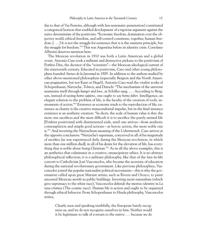ilar to that of Vaz Ferreira, although with less systematic penetration) constituted a categorical horizon that enabled development of a rigorous argument against the naive determinism of the positivists: "Economic freedom, domination over the objective world, ethical freedom, and self-control constitute, together, human freedom. [ . . . ] It is not the struggle for existence that is is the eminent principle, but the struggle for freedom."19 This was Argentina before its identity crisis. Coriolano Alberini deserves mention here.

The Mexican revolution in 1910 was both a Latin American and a global event. Antonio Caso took a militant and destructive pickaxe to the positivism of Porfirio Díaz, the dictator of the "scientists"—the Mexican ideological current of the nineteenth century. Educated in positivism, Caso and other young philosophers founded *Ateneo de la Juventud* in 1909*.* In addition to the authors studied by other above-mentioned philosophers (especially Bergson and the North American pragmatists, but not Kant or Hegel), Antonio Caso read the vitalist works of Schopenhauer, Nietzsche, Tolstoy, and Driesch: "The mechanism of the universe maintains itself through *hunger and love,* as Schiller sang. . . . According to Bergson, instead of saying *homo sapiens,* one ought to say *homo faber.* Intelligence, an elegant solution to the problem of life, is the faculty of the creation of tools, instruments of action."<sup>20</sup> Existence as economy tends to the reproduction of life; existence as charity is the creative transcendental impulse, but in the final instance existence is an aesthetic creation: "In short, the scale of human value is this: the more one sacrifices and the more difficult it is to sacrifice the purely animal life [Porfirist positivism] with disinterested ends, until one arrives—from aesthetic contemplation and simple good actions—at heroic action, the more noble one is."21 And inverting the Nietzschean meaning of the *Uebermensch,* Caso arrives at the opposite conclusion: "Nietzsche's superman, conceived in all of his magnitude of sacrifice [as was experienced daily during the Mexican revolution, in which more than one million died], in all of his desire for the elevation of life, has everything that is noble about being Christian."22 As in all the above examples, this is an aesthetics that culminates in a creative, emancipatory ethics. It is no abstract philosophical reflection; it is a militant philosophy, like that of the late-in-life convert to Catholicism José Vasconcelos, who became the secretary of education during the national revolutionary government. Like previous philosophies, Vasconcelos joined the popular nationalist political movements—this is why the government called upon great Marxist artists, such as Rivera and Orozco, to paint ancestral Mexican motifs in public buildings. Inverting racist naturalism (which gave supremacy to the white race), Vasconcelos defends the mestizo identity in *La raza cósmica* (The cosmic race). Human life is action and ought to be organized through ethical behavior. From Schopenhauer to Hindu philosophy, Vasconcelos writes,

Clearly seen and speaking truthfully, the European barely recognizes us, and we do not recognize ourselves in him. Neither would it be legitimate to talk of a return to the native . . . because we do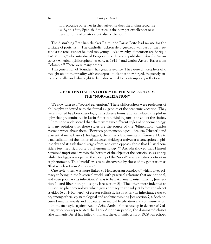not recognize ourselves in the native nor does the Indian recognize us. By this fate, Spanish America is the new par excellence: newness not only of territory, but also of the soul.<sup>23</sup>

The disturbing Brazilian thinker Raimundo Farías Brito had no use for the critique of positivism. The Catholic Jackson de Figueiredo was part of the neoscholastic renaissance; he died too young.<sup>24</sup> Also worthy of mention are Enrique José Molina,25 who introduced Bergson into Chile and published *Filósofos Americanos* (American philosophers) as early as 1913*, <sup>26</sup>* and Carlos Arturo Torres from Colombia.27 There were many others.

This generation of "founders" has great relevance. They were philosophers who thought about their reality with conceptual tools that they forged, frequently autodidactically, and who ought to be rediscovered for contemporary reflection.

# **3. EXISTENTIAL ONTOLOGY OR PHENOMENOLOGY: THE "NORMALIZATION"**

We now turn to a "second generation." These philosophers were professors of philosophy endowed with the formal exigencies of the academic vocation. They were inspired by phenomenology, in its diverse forms, and formulated the philosophy that predominated in Latin American thinking until the end of the sixties.

It must be underscored that there were two different styles of phenomenology. It is my opinion that these styles are the source of the "bifurcation." Carlos Astrada wrote about them, "Between phenomenological idealism (Husserl) and existential metaphysics (Heidegger), there lies a fundamental difference. Due to a radicalization of the notion of *existence,* Heidegger arrives at a conception of philosophy and its task that diverges from, and even opposes, those that Husserl considers fertilized rigorously by phenomenology."<sup>28</sup> Astrada showed that Husserl remained imprisoned within the horizon of the object of the consciousness-entity, while Heidegger was open to the totality of the "world" where entities confront us as phenomena. This "world" was to be discovered by those of my generation as "that which is Latin American."

One style, then, was more linked to Heideggerian ontology,<sup>29</sup> which gives primacy to being in the historical world, with practical relations that are national, and even popular (its inheritance<sup>30</sup> was to be Latinamericanist thinking [see section 6], and liberation philosophy [see section 8]). The other, more indebted to Husserlian phenomenology, which gives primacy to the subject before the object as eidos (e.g., F. Romero), of greater solipsistic inspiration (its inheritance was to be, among others, epistemological and analytic thinking [see section 7]). Both occurred simultaneously and in parallel, in mutual fertilization and communication.

In the first style, against Rodó's *Ariel,* Aníbal Ponce rose up in defense of Calibán, who now represented the Latin American people, the dominated classes (the humanist Ariel had failed).31 In fact, the economic crisis of 1929 was echoed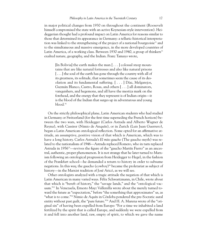in major political changes from 1930 on throughout the continent (Roosevelt himself compromised the state with an active Keynesian-style intervention). Heideggerian thought had a profound impact on Latin America for reasons similar to those that determined its appearance in Germany: a telluric-historical interpretation was linked to the strengthening of the project of a national bourgeoisie<sup>32</sup> and to the simultaneous and massive emergence, in the more developed countries of Latin America, of a working class. Between 1930 and 1940, a group of thinkers<sup>33</sup> exalted nature, geography, and the Indian. Franz Tamayo wrote,

[In Bolivia] the earth makes the man [ . . . ] colossal steep mountains that are like natural fortresses and also like natural prisons [...] the soul of the earth has gone through the country with all of its greatness, its solitude, that sometimes seem the cause of its desolation and its fundamental suffering. [ . . . ] Díaz, Melgarejos, Guzmán Blanco, Castro, Rosas, and others [ . . . ] all dominators, vanquishers, and hegemons, and all have the mestiza mark on the forehead, and the energy that they represent is of Indian origin—it is the blood of the Indian that surges up in adventurous and young blood.<sup>34</sup>

On the strictly philosophical plane, Latin American students who had studied in Germany or Switzerland (for the first time superseding the French horizon) between the two wars, with Heidegger (Carlos Astrada and Alberto Wagner de Reyna), with Cassirer (Nimio de Anquín), or in Zurich (Luis Juan Guerrero), began a Latin American ontological reflection. Some opted for an affirmative attitude, an assumptive, positive vision of that which is American, which was to have a long history. Carlos Astrada's *El mito gaucho* (The gaucho myth) was related to the nationalism of 1946—Astrada replaced Romero, who in turn replaced Astrada in 1956<sup>35</sup>—revives the figure of the "gaucho Martín Fierro" as an ancestral, authentic, proper phenomenon. It is not strange that he later turned to Marxism following an ontological progression from Heidegger to Hegel, in the fashion of the Frankfurt school—he demanded a return to history in order to subsume negations. In this way, the gaucho (cowboy)<sup>36</sup> became the proletariat as subject of history—in the Marxist tradition of José Aricó, as we will see.

Other ontologists analyzed with a tragic attitude the negation of that which is Latin American in many varied ways. Félix Schwartzmann, in Chile, wrote about that which is "bereft of history," the "savage lands," and the "ontological vacuum."37 In Venezuela, Ernesto Mayz Vallenilla wrote about the merely turned toward the future as "expectation," before "the something that approximates" us, as "what is to come."38 Nimio de Aquín in Córdoba pondered the pre-Socratic aural entity without past guilt, the "pure future."<sup>39</sup> And H. A. Murena wrote of the "original sin" of having been expelled from Europe: "For a time we inhabited a land fertilized by the spirit that is called Europe, and suddenly we were expelled from it and fell into another land, raw, empty of spirit, to which we gave the name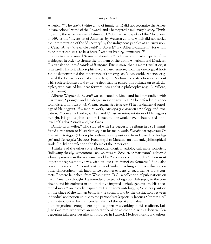America."40 The *criollo* (white child of immigrants) did not recognize the Amerindian, colonial world of the "inward land": he negated a millenary history. Thinking along the same lines were Edmundo O'Gorman, who spoke of the "discovery" of 1492 as the "invention of America" by Western culture, which did not notice the interpretation of the "discovery" by the indigenous peoples as an "invasion" of *Cemanahuac* ("the whole world" in Aztec);<sup>41</sup> and Alberto Caturelli,<sup>42</sup> for whom to be American was "to be a brute," without history, "immature."43

José Gaos, a Spaniard "trans-territorialized" to Mexico, similarly departed from Heidegger in order to situate the problem of the Latin American and Mexican. His translation into Spanish of *Being and Time* is more than a mere translation; it is in itself a historic philosophical work. Furthermore, from the ontological horizon he demonstrated the importance of thinking "*one's own* world," whence originated the Latinamericanist current (e.g., L. Zea)—a reconstruction carried out with such seriousness and extreme rigor that he passed this attitude on to his disciples, who carried his ideas forward into analytic philosophy (e.g., L. Villoro, F. Salmerón).

Alberto Wagner de Reyna<sup>44</sup> was educated in Lima, and he later studied with Hartmann, Spranger, and Heidegger in Germany. In 1937 he defended his doctoral dissertation, *La ontología fundamental de Heidegger* (The fundamental ontology of Heidegger)*.* His mature work, *Analogîa y evocación* (Analogy and evocation)*,* <sup>45</sup> concerns Kierkegaardian and Christian interpretations of Heidegger's thought. His philosophical stature is such that he would have to be situated at the level of Carlos Astrada and José Gaos.

Danilo Cruz Vélez,<sup>46</sup> who studied with Heidegger in Freiburg in 1951, manifested a transition to Husserlian style in his main work, *Filosofía sin supuestos: De Husserl a Heidegger (*Philosophy without presuppositions: from Husserl to Heidegger) and *De Hegal a Marcuse* (From Hegel to Marcuse*,* an academic philosophical work. He did not reflect on the theme of the American.

Thinkers of the other style, phenomenological, axiological, more solipsistic (following closely, as mentioned above, Husserl, Scheler, or Hartmann), achieved a broad presence in the academic world as "professors of philosophy." Their most important representative was without question Francisco Romero;<sup>47</sup> if one also takes into account "his not written work"—his teaching and his influence on other philosophers—his importance becomes evident. In fact, thanks to his contacts, Romero launched, from Washington, D.C., a collection of publications on Latin American thought. He intended a project of rigorous philosophy in the continent, and his enthusiasm and initiative inspired a whole generation. His theoretical works<sup>48</sup> are closely inspired by Hartmann's ontology, by Scheler's position on the place of the human being in the cosmos, and by the distinction between individual and person unique to the personalists (especially Jacques Maritain). All of this stood out in his transcendentalism of the spirit and values.

In Argentina a group of great philosophers was working in this tradition. Luis Juan Guerrero, who wrote an important book on aesthetics,<sup>49</sup> with a decisive Heideggerian influence but also with sources in Husserl, Merleau-Ponty, and others,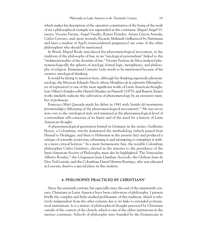which makes his description of the operative constitution of the being of the work of art a philosophical example not superseded in the continent. Miguel Angel Virasoro, Vicente Fatone, Angel Vasallo, Risieri Frondizi, Arture García Astrada, Carlos Ceriotto, and, more recently, Ricardo Maliandi (influenced by Hartmann and later a student of Apel's transcendental pragmatics) are some of the other philosophers who should be mentioned.

In Brazil, Miguel Reale introduced the phenomenological movement, in the tradition of the philosophy of law, in an "axiological personalism" linked to the "tridimensionality of the doctrine of law." Vicente Ferreira da Silva analyzed phenomenologically the spheres of axiology, formal logic, metaphysics, and philosophy of religion. Emmanuel Carneiro Leão needs to be mentioned because of his creative ontological thinking.

It would be fitting to mention here, although his thinking supersedes phenomenology, the Mexican Eduardo Nicol, whose *Metafísica de la expresión* (Metaphysics of expression) is one of the most significant works of Latin American thought. Luis Villoro's *Estudios sobre Husserl* (Studies on Husserl) (1975), and Ramón Xirau's works similarly indicate the cultivation of phenomenology by an extensive number of professors.

Francisco Miró Quesada made his debut in 1941 with *Sentido del movimiento fenomenológico* (Meaning of the phenomenological movement)*.* <sup>50</sup> He was never won over to the ontological style and remained at the phenomenological level of a rationalism self-conscious of its limits and of the need for a history of Latin American thought.

A phenomenological generation formed in Germany in the sixties. Guillermo Hoyos, a Colombian, strictly dominated the methodology (which passed from Husserl to Heidegger, and then to Habermas in the present day) and produced a critique of scientific positivism, subsuming it and attempting to transplant it within a more critical horizon.<sup>51</sup> In a more hermeneutic line, the notable Colombian philosopher Carlos Gutiérrez, elected in the nineties to the presidency of the Inter-American Society of Philosophy, must also be highlighted. The Venezuelan Alberto Rosales,<sup>52</sup> the Uruguayan Juan Llambias Acevedo, the Chilean Juan de Dios Vial Larraín, and the Colombian Daniel Herrera Restrepo, who was educated in Louvain, deserve a special place in this analysis.

# **4. PHILOSOPHY PRACTICED BY CHRISTIANS**<sup>53</sup>

Since the sixteenth century, but especially since the end of the nineteenth century, Christians in Latin America have been cultivators of philosophy. I present briefly the complex and little-studied problematic of this tradition, which is relatively independent from the other currents due to its links to extended ecclesiastical institutions. It is a matter of philosophical thought practiced by Christians outside of the context of the church, which is one of the oldest institutions in the mestizo continent. Schools of philosophy were founded by the Dominicans in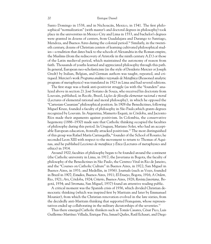Santo Domingo in 1538, and in Nichoacán, Mexico, in 1541. The first philosophical "normalization" (with master's and doctoral degrees in philosophy) took place in the universities in Mexico City and Lima in 1553, and bachelor's degrees were granted in dozens of centers, from Guadalajara and Durango to Santiago, Mendoza, and Buenos Aires during the colonial period.<sup>54</sup> Similarly, in the twentieth century, dozens of Christian centers of learning cultivated philosophical studies—a tradition that dates back to the schools of Alexandria in the Roman empire, the Muslims (from the rediscovery of Aristotle in the ninth century A.D.) or those of the Latin medieval period, which maintained the autonomy of reason from faith. Thousands of youths learned and appreciated philosophy through this path. In general, European neo-scholasticism (in the style of Desiderio Mercier or Joseph Gredt) by Italian, Belgian, and German authors was taught, repeated, and critiqued. Mercier's work *Programa analitico razonado de Metafísica* (Reasoned analytic program of metaphysics) was translated in 1923 in Lima and had several editions.

The first stage was a frank anti-positivist struggle (as with the "founders" analyzed above in section 2). José Soriano de Souza, who received his doctorate from Louvain, published, in Recife, Brazil, *Lições de filosofía elementar racional e moral* (Lectures of elemental rational and moral philosophy)*,* in which he opposed the "Cartesian-Cusanian" philosophical position. In 1908 the Benedictines, following Miguel Kruze, founded a faculty of philosophy in São Paulo,which grants degrees recognized by Louvain. In Argentina, Mamerto Esquiú, in Córdoba, and Jacionto Ríos made their arguments against positivism. In Colombia, the conservative hegemony (1886–1930) made sure that Catholic thinking occupied the faculties of philosophy during this period. In Uruguay, Mariano Soler, who had an acceptable European education, frontally attacked positivism.<sup>55</sup> The most distinguished of this group was Rafael María Carrasquilla,<sup>56</sup> founder of the School of Rosario; he seconded Leon XIII with respect to the movement to return to Thomas of Aquinas, and he published *Lecciones de metafísica y Ética* (Lectures of metaphysics and ethics) in 1914*.*

Around 1920, faculties of philosophy began to be founded around the continent (the Catholic university in Lima, in 1917; the Javeriana in Bogota, the faculty of philosophy of the Benedictines in São Paulo, the Centreo Vital in Rio de Janeiro, and the "Courses on Catholic Culture" in Buenos Aires, in 1922; San Miguel in Buenos Aires, in 1931; and Medellin, in 1936). Journals (such as *Vozes*, founded in Brazil in 1907; *Estudios*, Buenos Aires, 1911; *El Ensayo*, Bogota, 1916; *A Ordem,* Rio, 1921; *Arx*, Córdoba, 1924; *Criterio*, Buenos Aires, 1928; *Revista Javeriana,* Bogotá, 1934; and *Stromata*, San Miguel, 1937) found an attentive reading public.

A critical moment was the Spanish crisis of 1936, which divided Christian democratic thinking (which was inspired first by Maritain and later by Emmanuel Mounier), from which the Christian renovation evolved in the late sixties, from the decidedly anti-Maritain thinking that supported Franquism, whose representatives ended up collaborating in the military dictatorships of the seventies.<sup>57</sup>

Thus there emerged Catholic thinkers such as Tomás Casares, César Pico, Luis Guillermo Martínez Villada, Enrique Pita, Ismael Quiles, Raúl Echauri, and Diego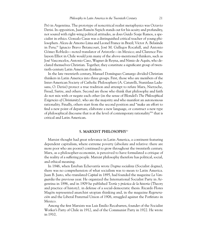Pró in Argentina. The prototype of noncritical realist metaphysics was Octavio Derisi. In opposition, Juan Ramón Sepich stands out for his acuity and profundity, not soured with right-wing political attitudes, as does Guido Soaje Ramos, a specialist in ethics. Gonzalo Casas was a distinguished critical teacher of young philosophers. Alceu de Amorso Lima and Leonel France in Brazil; Víctor A. Belaúnde in Peru;58 Ignacio Bravo Betancourt, José M. Gallegos Rocafull, and Antonio Gómez Robledo—noted translator of Aristotle—in Mexico; and Clarence Finlayson Elliot in Chile would join many of the above-mentioned thinkers, such as José Vasconcelos, Antonio Caso, Wagner de Reyna, and Nimio de Aquín, who declared themselves Christian. Together, they constitute a significant group of twentieth-century Latin American thinkers.

In the late twentieth century, Manuel Domínguez Camargo divided Christian thinkers in Latin America into three groups. First, those who are members of the Inter-American Society of Catholic Philosophers (A. Caturelli, Stanislaus Ladusans, O. Derisi) protect a true tradition and attempt to refute Marx, Nietzsche, Freud, Sartre, and others. Second are those who think that philosophy and faith do not mix with or negate each other (in the sense of Blondel's *The Philosophical Exigencies of Christianity*)*,* who are the majority and who manifest an autonomous rationality. Finally, others start from the second position and "make an effort to find a new point of departure, elaborate a new language, or construct a new type of philosophical discourse that is at the level of contemporary rationality"59 that is critical and Latin American.

# **5. MARXIST PHILOSOPHY**<sup>60</sup>

Marxist thought had great relevance in Latin America, a continent featuring dependent capitalism, where extreme poverty (absolute and relative: there are more poor who are poorer) continued to grow throughout the twentieth century. Marx, as a philosopher-economist, is perceived to have formulated a critique of the reality of a suffering people. Marxist philosophy therefore has political, social, and ethical meaning.

In 1846, when Esteban Echevarría wrote *Dogma socialista* (Socialist dogma), there was no comprehension of what socialism was to mean to Latin America. Juan B. Justo, who translated *Capital* in 1895, had founded the magazine *La Vanguardia* the previous year. He organized the International Socialist Party in Argentina in 1896, and in 1909 he published *Teoría y práctica de la historia* (Theory and practice of history)*,* in defense of a social-democratic thesis. Ricardo Flores Magón represented anarchist utopian thinking and, in the magazine *Regeneración* and the Liberal Fraternal Union of 1906, struggled against the Porfiriato in Mexico.

Among the first Marxists was Luis Emilio Recabarren, founder of the Socialist Worker's Party of Chile in 1912, and of the Communist Party in 1922. He wrote in 1910,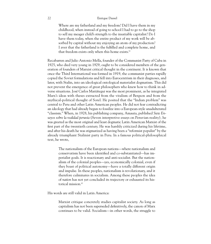Where are my fatherland and my freedom? Did I have them in my childhood, when instead of going to school I had to go to the shop to sell my meager child's strength to the insatiable capitalist? Do I have them today, when the entire product of my work will be absorbed by capital without my enjoying an atom of my production? I aver that the fatherland is the fulfilled and complete home, and that freedom exists only when this home exists.<sup>61</sup>

Recabarren and Julio Antonio Mella, founder of the Communist Party of Cuba in 1925, who died very young in 1929, ought to be considered members of the generation of founders of Marxist critical thought in the continent. It is known that once the Third International was formed in 1919, the communist parties rapidly copied the Soviet formulations and fell into Eurocentrism in their diagnoses, and later, with Stalin, into an ideological ontological materialist dogmatism. This did not prevent the emergence of great philosophers who knew how to think in adverse situations. José Carlos Mariátegui was the most prominent, as he integrated Marx's ideas with theses extracted from the vitalism of Bergson and from the mythical-political thought of Sorel. He posited that the "Indian problem" was central to Peru and other Latin American peoples. He did not fear contradicting an ideology that had already begun to fossilize into a European-style unadulterated "classism." When, in 1928, his publishing company, Amauta, published *Siete Ensayos sobre la realidad peruvia* (Seven interpretive essays on Peruvian reality)*,* he was greeted as the most original and least dogmatic Latin American Marxist of the first part of the twentieth century. He was harshly criticized during his lifetime, and after his death he was stigmatized as having been a "reformist populist" by the already triumphant Stalinist party in Peru. In a famous political-philosophical text, he wrote,

The nationalism of the European nations—where nationalism and conservatism have been identified and co-substantiated—has imperialist goals. It is reactionary and anti-socialist. But the nationalism of the colonial peoples—yes, economically colonial, even if they boast of political autonomy—have a totally different origin and impulse. In these peoples, nationalism is revolutionary, and it therefore culminates in socialism. Among these peoples the idea of *nation* has not yet concluded its trajectory or exhausted its historical mission.<sup>62</sup>

His words are still valid in Latin America:

Marxist critique concretely studies capitalist society. As long as capitalism has not been superseded definitively, the canon of Marx continues to be valid. Socialism—in other words, the struggle to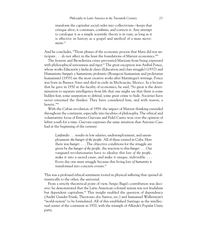transform the capitalist social order into collectivism—keeps that critique alive; it continues, confirms, and corrects it. Any attempt to catalogue it as a simple scientific theory is in vain, as long as it is effective in history as a gospel and method of a mass movement.<sup>63</sup>

And he concludes, "Those phases of the economic process that Marx did not anticipate . . . do not affect in the least the foundations of Marxist economics."64

The frontist and Browderista crises prevented Marxism from being expressed with philosophical seriousness and rigor.<sup>65</sup> The great exception was Aníbal Ponce, whose works *Educación y lucha de clases* (Education and class struggle) (1937) and *Humanismo burgués y humanismo proletario* (Bourgeois humanism and proletariat humanism) (1935) are the most creative works after Mariátegui's writings. Ponce was born in Buenos Aires and died in exile in Michoacán, Mexico. In a lecture that he gave in 1930 at the faculty of economics, he said, "So great is the determination to separate intelligence from life that one might say that there is some hidden fear, some usurpation to defend, some great crime to hide. Societies have never esteemed the thinker. They have considered him, and with reason, a heretic."66

With the Cuban revolution of 1959, the impact of Marxist thinking extended throughout the continent, especially into faculties of philosophy. The ethical and voluntaristic focus of Ernesto Guevara and Fidel Castro won over the opinion of leftist youth for a time. Guevara expresses the same intuition that Antonio Caso had at the beginning of the century:

*Latifundio* . . . results in low salaries, underemployment, and unemployment: *the hunger of the people.* All of these existed in Cuba. Here there was *hunger.* . . . The objective conditions for the struggle are given by the *hunger of the people,* the reaction to this *hunger.* . . . Our vanguard revolutionaries have to idealize this *love of the people,* make it into a sacred cause, and make it unique, indivisible. . . . Every day one must struggle because this living *love of humanity* is transformed into concrete events.<sup>67</sup>

This was a profound ethical sentiment rooted in physical suffering that opened altruistically to the other, the universal.

From a strictly theoretical point of view, Sergio Bagú's contribution was decisive: he demonstrated that the Latin American colonial system was not feudalism but dependent capitalism.<sup>68</sup> This insight enabled the question of dependency (André Gunder Frank, Theotonio dos Santos, etc.) and Immanuel Wallerstein's "world-system" to be formulated. All of this established Santiago as the intellectual center of the continent in 1970, with the triumph of Allende's Popular Unity party.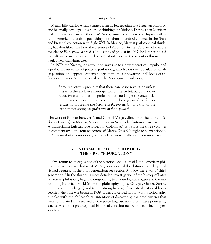Meanwhile, Carlos Astrada turned from a Heideggerian to a Hegelian ontology, and he finally developed his Marxist thinking in Córdoba. During their Mexican exile, his students, among them José Aricó, launched a theoretical dispute within Latin American Marxism, publishing more than a hundred volumes in the "Past and Present" collection with Siglo XXI. In Mexico, Marxist philosophical thinking had flourished thanks to the presence of Alfonso Sánchez Vázquez, who wrote the classic *Filosofía de la praxis* (Philosophy of praxis) in 1967; he later criticized the Althusserian current which had a great influence in the seventies through the work of Martha Harnecker.

In 1979, the Nicaraguan revolution gave rise to a new theoretical impulse and a profound renovation of political philosophy, which took over popular nationalist positions and opposed Stalinist dogmatism, thus innovating at all levels of reflection. Orlando Nuñez wrote about the Nicaraguan revolution,

Some reductively proclaim that there can be no revolution unless it is with the exclusive participation of the proletariat, and other reductivists state that the proletariat are no longer the ones making the revolution, but the people. . . . The myopia of the former resides in not seeing the *popular in the proletariat,* and that of the latter in not seeing *the proletariat in the popular.69*

The work of Bolivar Echeverría and Gabriel Vargas, director of the journal *Dialectics* (Puebla), in Mexico, Nuñez Tenorio in Venezuela, Antonio García and the Althusserianist Luis Enrique Orozco in Colombia, $\alpha$  as well as the three volumes of commentary of the four redactions of Marx's *Capital,*<sup>71</sup> ought to be mentioned. Raúl Fornet-Betancourt's work, published in German, fills an important vacuum.<sup>72</sup>

# **6. LATINAMERICANIST PHILOSOPHY: THE FIRST "BIFURCATION"**<sup>73</sup>

If we return to an exposition of the historical evolution of Latin American philosophy, we discover that what Miró Quesada called the "bifurcation" deepened (it had begun with the prior generation; see section 3). Now there was a "third generation." In the thirties, a more detailed investigation of the history of Latin American philosophy began, corresponding to an ontological exigency in the surrounding historical world (from the philosophy of José Ortega y Gasset, Sartre, Dilthey, and Heidegger) and to the strengthening of industrial national bourgeoisies when the war began in 1939. It was conceived not only as historiography, but also with the philosophical intention of discovering the problematics that were formulated and resolved by the preceding currents. From these pioneering studies was born a philosophical-historical consciousness with a continental perspective.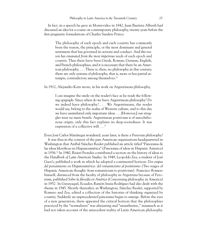In fact, in a speech he gave in Montevideo in 1842, Juan Bautista Alberdi had discussed an idea for a course on contemporary philosophy, twenty years before the first pragmatic formulations of Charles Sanders Peirce:

The philosophy of each epoch and each country has commonly been the reason, the principle, or the most dominant and general sentiment that has governed its actions and conduct. And *this reason has emanated from the most imperious needs* of each epoch and country. Thus there have been Greek, Roman, German, English, and French philosophies, and it is necessary that there be an American philosophy. . . . There is, then, no philosophy in this century; there are only systems of philosophy, that is, more or less partial attempts, contradictory among themselves.74

In 1912, Alejandro Korn wrote, in his work on Argentinean philosophy,

I can imagine the smile on the reader's face as he reads the following epigraph: Since when do we have Argentinean philosophy? Do we indeed have philosophy? . . . We Argentineans, the reader would say, belong to the realm of Western culture, and to this day we have assimilated only important ideas . . . [However,] our struggles were no mere brawls. Argentinean positivism is of autochthonous origin; only this fact explains its deep-rootedness. It was expression of a collective will . . .75

Even José Carlos Mariátegui wondered, years later, is there a Peruvian philosophy? It was thus in the context of the pan-American organizations headquartered in Washington that Aníbal Sánchez Reulet published an article titled "Panorama de las ideas filosóficas en Hispanoamérica" (Panorama of ideas in Hispanic America) in 1936.76 In 1940, Risieri Frondizi contributed a section on the history of ideas to the *Handbook of Latin American Studies*. In 1949, Leopoldo Zea, a student of José Gaos's, published a work in which he adopted a continental horizon: *Dos etapas del pensamiento en Hispanoamérica: del romanticismo al positivismo* (Two stages of Hispanic American thought: from romanticism to positivism)*.* Francisco Romero himself, distanced from the faculty of philosophy in Argentina because of Peronism, published *Sobre la filosofía en América* (Concerning philosophy in America) in 1952*.* In Guyayaquil, Ecuador, Ramón Insúa Rodríguez had also dealt with the theme in 1945. Shortly thereafter, in Washington, Sánchez Reulet, supported by Romero and Zea, edited a collection of the histories of thinking organized by country. Suddenly an unprecedented panorama began to emerge. Before the eyes of a new generation, there appeared the critical horizon that the philosophies practiced by the "normalizers" was alienating and "unauthentic," inasmuch as it had not taken account of the antecedent reality of Latin American philosophy.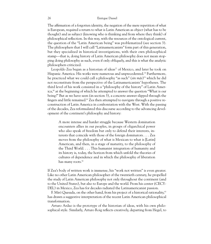The affirmation of a forgotten identity, the negation of the mere repetition of what is European, required a return to what is Latin American as object (what has to be thought) and as subject (knowing who is thinking and from where they think) of philosophical reflection. In this way, with the resources of the ontological current, the question of the "Latin American being" was problematized (see section 3). The philosophers that I will call "Latinamericanists" form part of this generation, but they specialized in historical investigations, with their own philosophical stamp—that is, doing history of Latin American philosophy does not mean stopping doing philosophy as such, even if only obliquely, and this is what the analytic philosophers criticized.

Leopoldo Zea began as a historian of ideas<sup> $77$ </sup> of Mexico, and later he took on Hispanic America. His works were numerous and unprecedented.78 Furthermore, he practiced what we could call a philosophy "as such" (*sin más*)79 which he did not reconstitute from the perspective of the Latinamericanists' hypotheses. The third level of his work consisted in a "philosophy of the history" of Latin America, $\delta$ <sup>80</sup> at the beginning of which he attempted to answer the question "What is our being?" But as we have seen (in section 3), a concrete answer slipped through the fingers and little remained.<sup>81</sup> Zea then attempted to navigate through a positive reconstruction of Latin America in confrontation with the West. With the passing of the decades, Zea reformulated this discourse according to the advancing development of the continent's philosophy and history:

A more intense and harder struggle because Western domination encounters allies in our peoples, in groups of oligarchical power who also speak of freedom but only to defend their interests, interests that coincide with those of the foreign dominators. . . . Zea moves from the philosophy of what is Mexican to what is [Latin] American, and then, in a stage of maturity, to the philosophy of the Third World. . . . This humanist integration of humanity and its history is, today, the horizon from which unfold the theories of cultures of dependence and in which the philosophy of liberation has many roots.<sup>82</sup>

If Zea's body of written work is immense, his "work not written" is even greater. Like no other Latin American philosopher of the twentieth century, he propelled the study of Latin American philosophy not only throughout the continent (and to the United States), but also to Europe and the world. From his center (CECY-DEL) in Mexico, Zea has for decades radiated the Latinamericanist passion.

F. Miró Quesada, on the other hand, from his project of a historical rationality,<sup>83</sup> has drawn a suggestive interpretation of the recent Latin American philosophical transformation.

Arturo Ardao is the prototype of the historian of ideas, with his own philosophical style. Similarly, Arturo Roig reflects creatively, departing from Hegel, to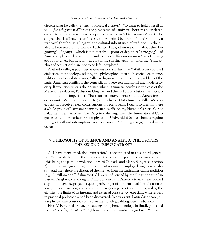discern what he calls the "anthropological *a priori,*"84 "to want to hold oneself as valid (*für sich gelten will*)" from the perspective of a universal horizon and with reference to "the concrete figure of a people" (*die konkrete Gestalt eines Volkes*). The subject that is affirmed is an "us" (Latin America) before the "ours" (not only a territory) that has as a "legacy" the cultural inheritance of tradition, in the dialectic between civilization and barbarity. Thus, when we think about the "beginning" (*Anfang*)—which is not merely a "point of departure" (*Ausgang*)—of American philosophy, we must think of it as "self-consciousness," as a thinking about ourselves, but in reality as constantly starting again. In turn, the "philosophies of accusation"<sup>85</sup> are not to be left unexplored.

Abelardo Villegas published notorious works in his time.<sup>86</sup> With a very purified dialectical methodology, relating the philosophical text to historical economic, political, and social structures, Villegas diagnosed that the central problem of the Latin American conflict is the contradiction between traditional and modern society. Revolution reveals the answer, which is simultaneously (in the case of the Mexican revolution, Batlista in Uruguay, and the Cuban revolution) anti-traditional and anti-imperialist. The reformist movements (radical Argentineans or Peronists, Vargistas in Brazil, etc.) are included. Unfortunately, Villegas's project has not received new contributions in recent years. I ought to mention here a whole group of Latinamericanists, such as Weinberg, Horacio Cerutti, Carlos Paladines, Germán Marquínez Argote (who organized the International Congresses of Latin American Philosophy at the Universidad Santo Thomas Aquino in Bogotá without interruption every year since 1982), Hugo Biaggini, and many others.

# **7. PHILOSOPHY OF SCIENCE AND ANALYTIC PHILOSOPHY: THE SECOND "BIFURCATION"**<sup>87</sup>

As I have mentioned, the "bifurcation" is accentuated in this "third generation." Some started from the position of the preceding phenomenological current (this being the path of evolution of Miró Quesada and Mario Bunge; see section 3). Others, with greater rigor in the use of resources, employed linguistic analysis,<sup>88</sup> and they therefore distanced themselves from the Latinamericanist tradition (e.g., L. Villoro and F. Salmerón). All were influenced by the "linguistic turn" in postwar Anglo-Saxon thought. Philosophy in Latin America took a clear forward step—although the project of quasi-perfect rigor of mathematical formalization or analysis meant an exaggerated skepticism regarding the other currents, and by the eighties, the limits of its internal and external consistency, especially with respect to practical philosophy, had been discovered. In any event, Latin American philosophy became conscious of its own methodological-linguistic mediations.

First, V. Ferreira da Silva, proceeding from phenomenology in Brazil, published *Elementos de lógica matemática* (Elements of mathematical logic) in 1940*.* Simi-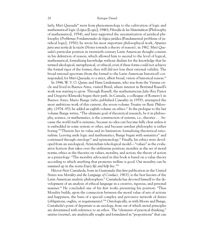larly, Miró Quesada<sup>89</sup> went from phenomenology to the cultivation of logic and mathematical logic (*Lógica* [Logic], 1946); *Filosofía de las Matemáticas* [Philosophy of mathematics]*,* 1954), and later supported the axiomatization of juridical philosophy (*Problemas Fondamentales de lógica juridica* [Fundamental problems of juridical logic]*,* 1956); he wrote his most important philosophical work, *Apuntes para una teoría de la razón* (Notes towards a theory of reason)*,* in 1962. Miró Quesada's particular position in twentieth-century Latin American thought consists in his definition of reason, which allowed him to ascend to the level of logical, mathematical, formalizing knowledge without disdain for the knowledge that he termed ideological, metaphysical, or ethical; even if these forms could not achieve the formal rigor of the former, they still did not lose their rational validity. The broad rational spectrum (from the formal to the Latin American historical) corresponded, for Miró Quesada, to a strict, albeit broad, vision of historical reason.<sup>90</sup>

In 1944, W. V. O. Quine and Hans Lindemann, who was from the Vienna circle and lived in Buenos Aires, visited Brazil, where interest in Bertrand Russell's work was starting to grow. Through Russell, the mathematician Julio Rey Pastor and Gregorio Klimoski began their path. In Canada, a colleague of Romero's in Buenos Aires, Mario Bunge (who published *Causality* in 1959), attempted the most ambitious work of this current, the seven-volume *Treatise on Basic Philosophy,* (1974–85); he added an eighth volume on ethics.<sup>91</sup> In the prologue to the last volume Bunge writes, "The ultimate goal of theoretical research, be it in philosophy, science, or mathematics, is the construction of systems, i.e., theories . . . because the world itself is systemic, because no idea can become fully clear unless it is embedded in some system or other, and because sawdust philosophy is rather boring."92Therein lies its value and its limitation: formalizing theoretical rationalism. Leaving aside logic and mathematics, Bunge began with semantics<sup>93</sup> and continued through ontology<sup>94</sup> and epistemology.<sup>95</sup> Finally, his ethics were developed from an axiological, Aristotelian teleological model—"values" as the evaluative horizon that takes over the utilitarian position; morality as the set of moral norms; ethics as the theories on values, morality, and action; the theory of action as a praxiology: "The morality advocated in this book is based on a value theory according to which anything that promotes welfare is good. Our morality can be summed up in the norm *Enjoy life and help live.*"96

Héctor-Neri Castañeda, born in Guatemala (his first publication in the United States was *Morality and the Language of Conduct,* 1963), is the best known of the Latin American analytic philosophers.<sup>97</sup> Castañeda has devoted himself to the development of an analysis of ethical language in a creative, rigorous, and personal manner.<sup>98</sup> He concluded one of his first works presenting his position: "Thus Morality builds, upon the connection between the moral value of sets of actions and happiness, the basis of a special complex and pervasive network of duties (obligations, oughts, or requirements)."99 Ontologically, as with Moore and Bunge, Castañeda's point of departure is an axiology, from out of which moral principles are determined with reference to an ethos*.* The "elements of practical thinking," unities (*noema*), are analytically sought and formulated in "propositions" that can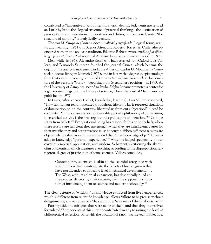constituted as "imperatives," with intentions, until deontic judgments are arrived at. Little by little, the "logical structure of practical thinking," the justification of prescriptions and intentions, imperatives and duties, is discovered, until "the structure of morality" is analytically reached.

Thomas M. Simpson (*Formas lógicas, realidad y significado* [Logical forms, reality and meaning], 1964), in Buenos Aires, and Roberto Torreti, in Chile, also pioneered work in the analytic tradition. Eduardo Rabossi wrote *Análisis filosófico, lenguaje y metafísica* (Philosophical Analysis, language and metaphysics) in 1977*.*

Meanwhile, in 1967, Alejandro Rossi, who had returned from Oxford, Luis Villoro, and Fernando Salmerón founded the journal *Crítica,* which became the organ of the analytic movement in Latin America. Carlos U. Moulines, a Venezuelan doctor living in Munich (1975), and in fact with a degree in epistemology from that city's university, published *La estructura del mundo sensible* (The Structure of the Sensible World)—departing from Stegmüller's position—in 1973. At the University of Campinas, near São Paulo, Zeljko Loparic promoted a center for logic, epistemology, and the history of science, where the journal *Manuscrito* was published in 1977.

In *Creer, saber, conocer* (Belief, knowledge, learning)*,* Luis Villoro wondered, "How has human reason operated throughout history? Has it repeated situations of domination or, on the contrary, liberated us from our subjection?"100 And he concluded, "If intolerance is an indispensable part of a philosophy of domination, then critical activity is the first step toward a philosophy of liberation."101 Critique starts from beliefs.<sup>102</sup> Every rational being has reasons for his or her beliefs; when these reasons are sufficient they are enough; when they are insufficient, causes for their insufficiency and better reasons must be sought. When sufficient reasons are objectively justified as valid, it can be said that *S* has knowledge of p.103 To learn adds to knowledge "personal experience,"<sup>104</sup> which is judged specifically in discoveries, empirical application, and wisdom. Vehemently criticizing the skepticism of scientism, which measures everything according to the disproportionately rigorous degree of justification of some sciences, Villoro concludes,

Contemporary scientism is akin to the scornful arrogance with which the civilized contemplate the beliefs of human groups that have not ascended to a specific level of technical development. . . . The West, with its colonial expansion, has despotically ruled entire peoples, destroying their cultures, with the supposed justification of introducing them to science and modern technology.<sup>105</sup>

The clear defense of "wisdom," as knowledge extracted from lived experiences, which is different from scientific knowledge, allows Villoro to be precise without delegitimating the narrative of a Shakyamuni, a "wise man of the Shakya tribe."106

Putting aside the critiques that were made of them, and that they themselves formulated,107 proponents of this current contributed greatly to raising the level of philosophical reflection. Born with the vocation of rigor, it achieved its objective.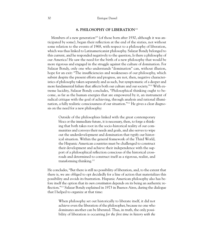# **8. PHILOSOPHY OF LIBERATION**<sup>108</sup>

Members of a new generation<sup>109</sup> (of those born after 1930, although it was anticipated by some), began their reflection at the end of the sixties, not without some relation to the events of 1968, with respect to a philosophy of liberation, which was thus linked to Latinamericanist philosophy. Salazar Bondy belonged to this current, and he responded negatively to the question, Is there a philosophy of our America? He saw the need for the birth of a new philosophy that would be more rigorous and engaged in the struggle against the culture of domination. For Salazar Bondy, only one who understands "domination" can, without illusion, hope for an exit: "The insufficiencies and weaknesses of our philosophy, which subsist despite the present efforts and progress, are not, then, negative characteristics of philosophy taken separately and as such, but symptomatic of a deeper and more fundamental failure that affects both our culture and our society."110 With extreme lucidity, Salazar Bondy concludes, "Philosophical thinking ought to become, as far as the human energies that are empowered by it, an instrument of radical critique with the goal of achieving, through analysis and rational illumination, a fully realistic consciousness of our situation."111 He gives a clear diagnosis on the need for a new philosophy:

Outside of the philosophies linked with the great contemporary blocs or the immediate future, it is necessary, then, to forge a thinking that both takes root in the socio-historical reality of our communities and conveys their needs and goals, and also serves to wipe out the underdevelopment and domination that typify our historical situation. Within the general framework of the Third World, the Hispanic American countries must be challenged to construct their development and achieve their independence with the support of a philosophical reflection conscious of the historical crossroads and determined to construct itself as a rigorous, realist, and transforming thinking.<sup>112</sup>

He concludes, "But there is still no possibility of liberation, and, to the extent that there is, we are obliged to opt decidedly for a line of action that materializes this possibility and avoids its frustration. Hispanic American philosophy also has before itself the option that *its own constitution* depends on its being an authentic reflection."113 Salazar Bondy explained in 1973 in Buenos Aires, during the dialogue that I helped to organize at that time:

When philosophy set out historically to liberate itself, it did not achieve even the liberation of the philosopher, because no one who dominates another can be liberated. Thus, in truth, the only possibility of liberation is occurring *for the first time in history with the*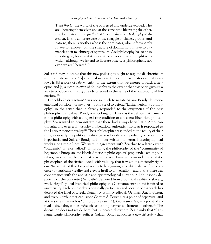*Third World,* the world of the oppressed and underdeveloped, who are liberating themselves and at the same time liberating the other, the dominator. Thus, *for the first time can there be a philosophy of liberation.* In the concrete case of the struggle of classes, groups, and nations, there is another who is the dominator, who unfortunately I have to remove from the structure of domination: I have to dismantle their machinery of oppression. And philosophy has to be in this struggle, because if it is not, it becomes abstract thought with which, although we intend to liberate others, as philosophers, not even we are liberated.<sup>114</sup>

Salazar Bondy indicated that this new philosophy ought to respond diachronically to three criteria: to be "[a] a critical work to the extent that historical reality allows it, [b] a work of *reformulation* to the extent that we emerge towards a new optic, and [c] a *reconstruction* of philosophy to the extent that this optic gives us a way to produce a thinking already oriented in the sense of the philosophy of liberation."115

Leopoldo Zea's reaction<sup>116</sup> was not so much to negate Salazar Bondy's historiographical position—or my own—but instead to defend "Latinamericanist philosophy" in the sense that it already responded to the exigencies of the new philosophy that Salazar Bondy was looking for. This was the debate: Latinamericanist philosophy with a long existing tradition or a nascent liberation philosophy? Zea wanted to demonstrate that there had always been Latin American thought, and even a philosophy of liberation, authentic insofar as it responded to the Latin American reality.117 These philosophies responded to the reality of their time, especially the political reality. Salazar Bondy and I perfectly accepted this hypothesis, and Salazar Bondy had in fact written numerous historiographical works along these lines. We were in agreement with Zea that to a large extent "academic" or "normalized" philosophy, the philosophy of the "community of hegemonic European and North American philosophers" propounded among ourselves, was not authentic;<sup>118</sup> it was imitative, Eurocentric—and the analytic philosophers of the sixties added, with validity, that it was not sufficiently rigorous. We admitted that for philosophy to be rigorous, it ought to depart from concrete (or particular) reality and elevate itself to universality—and in this there was concordance with the analytic and epistemological current. All philosophy departs from the concrete (Aristotle's departed from a political reality of slavery, while Hegel's global-historical philosophy was Germanocentric) and is raised to universality. Each philosophy is originally particular (and because of that each has deserved the label of Greek, Roman, Muslim, Medieval, German, Anglo-Saxon, and even North American, since Charles S. Peirce), as a point of departure, and at the same time each is "philosophy as such" (*filosofía sin más*), as a point of arrival—since they can learn/teach something "universal" from/to all others.119 The discussion does not reside here, but is located elsewhere: Zea thinks that "Latinamericanist philosophy" suffices; Salazar Bondy advocates a *new philosophy* that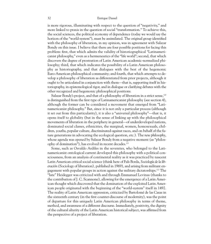is more rigorous, illuminating with respect to the question of "negativity," and more linked to praxis in the question of social "transformation." To achieve this, the social sciences, the political economy of dependence (today we would say the horizon of the "world-system"), must be assimilated. The original group identified with the philosophy of liberation, in my opinion, was in agreement with Salazar Bondy on this issue. I believe that there are four possible positions for facing this problem: first, that which admits the validity of historiographical "Latinamericanist philosophy," even as a hermeneutics of the "life world"; second, that which discovers the degree of prostration of Latin American academic-normalized philosophy; third, that which indicates the possibility of a Latin American philosophy as historiography, and that dialogues with the best of the hegemonic Euro-American philosophical community; and fourth, that which attempts to develop a philosophy of liberation as differentiated from prior projects, although it ought to be articulated in conjunction with them—that is, supporting itself in historiography, in epistemological rigor, and in dialogue or clarifying debates with the other recognized and hegemonic philosophical positions.

Salazar Bondy's project, and that of a philosophy of liberation in a strict sense,<sup>120</sup> is distinguished from the first type of Latinamericanist philosophy (see section 4), although the former can be considered a movement that emerged from "Latinamericanist philosophy." But, since it is not only a particular process (although it set out from this particularity), it is also a "universal philosophy"—that is, it opens itself to globality (but in the sense of linking up with the philosophical movements of liberation in the periphery in general—of underdeveloped nations, dominated social classes, ethnicities, the marginal, women, homosexuals, children, youths, popular culture, discriminated-against races, and on behalf of the future generations in advocating the ecological question, etc.). The *new philosophy*, whose agenda was opened by Salazar Bondy from a negative moment (as "philosophy of domination"), has evolved in recent decades.121

Some, such as Osvaldo Ardiles in the seventies, who belonged to the Latinamericanist ontological current developed this philosophy with a political consciousness, from an analysis of continental reality as it was practiced by nascent Latin American critical social science (think here of Fals Borda, *Sociología de la liberación* (Sociology of liberation)*,* published in 1969), and arising from militant engagement with popular groups in action against the military dictatorships.<sup>122</sup> The "late" Heidegger was criticized with and through Emmanuel Levinas (thanks to the contribution of J. C. Scannone), allowing for the emergence of a Latin American thought which discovered that the domination of the exploited Latin American people originated with the beginning of the "world-system" itself in 1492. The reality of Latin American oppression, criticized by Bartolomé de las Casas in the sixteenth century (in the first counter-discourse of modernity), was the point of departure for this uniquely Latin American philosophy in terms of theme, method, and awareness of a different discourse. Immediately, positivity, the dignity of the cultural alterity of the Latin American historical subject, was affirmed from the perspective of a project of liberation.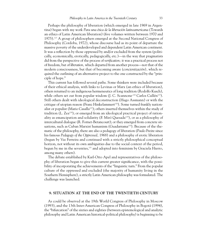Perhaps the philosophy of liberation (which emerged in late 1969 in Argentina) began with my work *Para una ética de la liberación latinoamericana* (Towards an ethics of Latin American liberation) (five volumes written between 1970 and 1975).123 A group of philosophers emerged at the Second National Congress of Philosophy (Cordoba, 1972), whose discourse had as its point of departure the massive poverty of the underdeveloped and dependent Latin American continent. It was a reflection by those oppressed by and/or excluded from the system (politically, economically, erotically, pedagogically, etc.)—in the way that pragmatists did from the perspective of the process of *verification;* it was a practical process not of freedom, but of *liberation,* which departed from another process—not that of the modern consciousness, but that of becoming aware (*concientización*)*,* which required the outlining of an alternative project to the one constructed by the "principle of hope."

This current has followed several paths. Some thinkers were included because of their ethical analysis, with links to Levinas or Marx (an ethics of liberation), others returned to an indigenous hermeneutics of long tradition (Rodolfo Kusch), while others set out from popular wisdom (J. C. Scannone<sup>,124</sup> Carlos Cullén<sup>125</sup>). Still others dealt with ideological deconstruction (Hugo Assmann) or with the critique of utopian reason (Franz Hinkelammert<sup>126</sup>). Some turned frankly nationalist or populist (Mario Casalla<sup>127</sup>); others inserted themselves within the study of tradition  $(L. Zea<sup>128</sup>)$ ; or emerged from an ideological practical project of rationality as emancipation and solidarity (F. Miró Quesada<sup>129</sup>), or as a philosophy of intercultural dialogue (R. Fornet-Betancourt); or they emerged from concrete situations, such as Cuban Marxist humanism (Guadarrama130). Because of the thematic of the philosophy, there are also a pedagogy of liberation (Paulo Freire since his famous *Pedagogy of the Oppressed,* 1968) and a philosophy of erotic liberation (begun by Vaz Ferreira and continued with a strictly philosophical conceptual horizon, not without its own ambiguities due to the social context of the period, begun by me in the seventies,<sup>131</sup> and adopted into feminism by Graciela Hierro, among many others).

The debate established by Karl-Otto Apel and representatives of the philosophy of liberation began to give this current greater significance, with the possibility of incorporating the achievements of the "linguistic turn." From the popular culture of the oppressed and excluded (the majority of humanity living in the Southern Hemisphere), a strictly Latin American philosophy was formulated. The challenge was launched.

# **9. SITUATION AT THE END OF THE TWENTIETH CENTURY**

As could be observed at the 19th World Congress of Philosophy in Moscow (1993), and the 13th Inter-American Congress of Philosophy in Bogotá (1994), the "bifurcation" of the sixties and eighties (between epistemological and analytic philosophy and Latin American historical-political philosophy) is beginning to be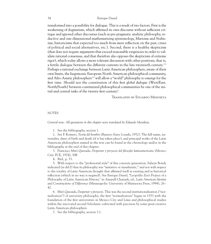transformed into a possibility for dialogue. This is a result of two factors. First is the weakening of dogmatism, which affirmed its own discourse without sufficient critique and ignored other discourses (such as pre-pragmatic analytic philosophy, reductive and one-dimensional mathematizing epistemology, Marxism and Stalinism, historicisms that expected too much from mere reflection on the past, crises of political and social alternatives, etc.). Second, there is a healthy skepticism (that does not require arguments that exceed reasonable exigencies in order to validate rational consensus, and that therefore also opposes the skepticism of extreme rigor), which today allows a more tolerant discussion with other positions, that is, a fertile dialogue between the different currents in the late twentieth century.132 Perhaps a rational exchange between Latin American philosophers, aware of their own limits, the hegemonic European-North American philosophical community, and Afro-Asiatic philosophers<sup>133</sup> will allow a "world" philosophy to emerge for the first time. Should not the constitution of this first *global dialogue* (West/East, North/South) between continental philosophical communities be one of the initial and central tasks of the twenty-first century?

Translated by Eduardo Mendieta

#### **NOTES**

*General note: All quotations in this chapter were translated by Eduardo Mendieta.*

1. See the bibliography, section 1.

2. See F. Romero, *Teoría del hombre* (Buenos Aires: Losada, 1952). The full name, nationality, dates of birth and death (if it has taken place), and principal works of the Latin American philosophers named in the text can be found in the chronology and/or in the bibliography at the end of this chapter.

3. Francisco Miró Quesada, *Despertar y proyecto del filosofar latinoamericano* (Mexico City: FCE, 1974), 30ff.

4. Ibid., p. 33.

5. With respect to the "professorial style" of this concrete generation, Salazar Bondy indicated (as did I) that its philosophy was "imitative or inauthentic," and not with respect to the totality of Latin American thought that affirmed itself as existing and as historical reflection (which in no way is negated). See Enrique Dussel, "Leopoldo Zea's Project of a Philosophy of Latin American History," in Amaryll Chanady, ed., *Latin American Identity and Constructions of Difference* (Minneapolis: University of Minnesota Press, 1994), 26– 42.

6. Miró Quesada, *Despertar y proyecto*. This was the second institutionalization ("normalization") of university philosophy; the first "normalization" began in 1553 with the foundation of the first universities in Mexico City and Lima and philosophical studies within the renovated second Scholastic cultivated with precision by some great creative Latin American philosophers.

7. See the bibliography, section 3.1.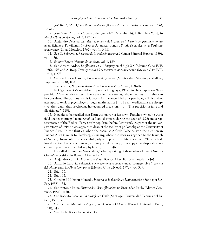8. José Rodó, "Ariel*,*" in *Obras Completas* (Buenos Aires: Ed. Antonio Zamora, 1956), 190–191.

9. José Martí, "Carta a Gonzalo de Quesada" [December 14, 1889, New York], in Martí, *Obras completas*, vol. 2, 197–198.

10. Alejandro Deustua, *Las ideas de orden y de libertad en la historia del pensamiento humano* (Lima: E. R. Villaran, 1919); see A. Salazar Bondy, *Historia de las ideas en el Perú contemporáneo* (Lima: Moncloa, 1967), vol. 1, 149ff.

11. See D. Sobrevilla, *Repensando la tradición nacional I* (Lima: Editorial Hipatia, 1989), vol. 1, 8ff.

12. Salazar Bondy, *Historia de las ideas*, vol. 1, 189.

13. See Arturo Ardao, *La filosofía en el Uruguay en el Siglo XX* (Mexico City: FCE, 1956), 45ff; and A. Roig, *Teoría y crítica del pensamiento latinoamericano* (Mexico City: FCE, 1981), 115ff.

14. See Carlos Vaz Ferreira, *Conocimiento y acción* (Montevideo: Mariño y Caballero, Impresores, 1908), 100.

15. Vaz Ferreira, "El pragmatismo," in *Conocimiento y Acción*, 168–169.

16. In *Lógica viva* (Montevideo: Impresora Uruguaya, 1957), in the chapter on "false precision," Vaz Ferreira writes, "There are scientific systems, whole theories [ . . . ] that can be considered illustrations of this fallacy—for instance, Herbart's psychology. This author attempts to explain psychology through mathematics [ . . . ] Such explications are deceptive: they claim that psychology has acquired precision. [ . . . ] This precision is false and illegitimate" (110).

17. It ought to be recalled that Korn was mayor of his town, Ranchos, when he was a field doctor; municipal manager of La Plata; dismissed during the coup of 1893; and a representative of the Radical Party (early populism, before Peronism). As part of the university reform of 1919 he was appointed dean of the faculty of philosophy at the University of Buenos Aires. In the thirties, when the socialist Alfredo Palacios won the election in Buenos Aires (similar to Hamburg, Germany, where the door was opened to the triumph of Nazism), Korn entered the socialist party to oppose the military coup of 1930, which allowed Captain Francisco Romero, who supported the coup, to occupy an undisputably preeminent position in the philosophy faculty until 1946.

18. He called himself an "autodidact," when speaking of those who admired Ortega y Gasset's exposition in Buenos Aires in 1916.

19. Alejandro Korn, *La libertad creadora* (Buenos Aires: Editorial Losada, 1944).

20. Antonio Caso, *La existencia como economía y como caridad. Ensayo sobre la esencia del cristianismo*, in *Obras Completas* (Mexico City: UNAM, 1972), vol. 3, 9.

21. Ibid., 16.

22. Ibid., 17.

23. Cited in M. Kempff Mercado, *Historia de la filosofía en Latinoamérica* (Santiago: Zig-Zag, 1958), 153.

24. See Antonio Paim, *Historia das Idéias filosóficas no Brasil* (São Paulo: Editora Convivio, 1984), 417ff.

25. See Roberto Escobar, *La filosofía en Chile* (Santiago: Universidad Técnica del Estado, 1976), 63ff.

26. See Germán Marquínez Argote, *La Filosofía en Colombia* (Bogotá: Editorial el Búho, 1988), 343ff.

27. See the bibliography, section 3.2.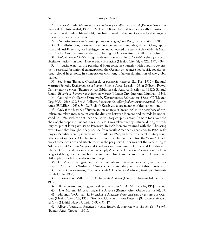28. Carlos Astrada, *Idealismo fenomenológico y metafísica existencial* (Buenos Aires: Imprenta de la Universidad, 1936) p. 6. The bibliography in this chapter calls attention to the fact that Astrada achieved a high technical level in the use of sources by the range of canonical issues he wrote about.

29. On Latin American "contemporary ontologies," see Roig, *Teoría y crítica*, 138ff.

30. This distinction, however, should not be seen as immutable, since J. Gaos, republican and anti-Francista, was Heideggerian and advocated the study of that which is Mexican. Carlos Astrada himself ended up adhering to Marxism after the fall of Peronism.

31. Aníbal Ponce, "*Ariel* o la agonía de una obstinada ilusión" (*Ariel* or the agony of an obstinate illusion), in idem, *Humanismo y revolución* (Mexico City: Siglo XXI, 1970), 94ff.

32. In Latin America the peripheral bourgeoisie in countries with populist governments searched for national emancipation; the German or Japanese bourgeoisie sought, instead, global hegemony, in competition with Anglo-Saxon domination of the global market.

33. See Franz Tamayo, *Creación de la pedagogia nacional* (La Paz, 1910); Ezequiel Martínez Estrada, *Radiografía de la Pampa* (Buenos Aires: Losada, 1961); Gilberto Freyre, *Casa-grande y senzala* (Buenos Aires: Biblioteca de Autores Brasileños, 1942); Samuel Ramos, *El perfil del hombre y la cultura en México* (Mexico City: Imprenta Mundial, 1934)*.*

34. Quoted in Guillermo Francovich, *El pensamiento boliviano en el Siglo XX* (Mexico City: FCE, 1966), 229. See A. Villegas, *Panorama de la filosofía iberoamericana actual* (Buenos Aires: EUDEBA, 1963), 74–92. Rodolfo Kusch was a late member of this generation.

35. Only if the history of Europe and its change of "meaning" in the periphery of capitalism are taken into account can the division between Romero and Astrada be understood. In 1930, with the anti-nationalist "military coup," Captain Romero took over the chair of philosophy in Buenos Aires; in 1946 it was taken over by Astrada, during the military coup that later gave rise to Peronism. In 1956 Romero returned with the "liberating revolution" that brought independence from North American expansion. In 1966, with Onganía's military coup, some went into exile; in 1976, with the neoliberal military coup, others went into exile. One has to be extremely careful not to confuse the "sense" of each one of these divisions and situate them in the periphery. Hitler was not the same thing as Adenauer, but Getulio Vargas and Cárdenas were not simply Hitler, and Frondizi and Chilean Christian democracy were not simply Adenauer. Therefore, Astrada was not Heidegger (although he had much in common with him), and he and Romero did not have philosophical-political analogues in Europe.

36. The Argentinian gaucho, like the Colombian or Venezuelan *llanero*, was the prototype for Sarmiento's "barbarian." Astrada recuperated the positivity of this prototype.

37. Félix Schwartzmann, *El sentimiento de lo humano en América* (Santiago: Universidad de Chile*,* 1950).

38. Ernesto Mayz Vallenilla, *El problema de América* (Caracas: Universidad Central.*,* 1959).

39. Nimio de Anquín, "Lugones y el ser americano," in *Arkhé* (Córdoba, 1964): 29–48.

40. H. A. Murena, *El pecado original de América* (Buenos Aires: Grupo Sur*,* 1954), 39.

41. Edmundo O'Gorman, *La invención de América: el universalismo de la culture de Occidente* (Mexico City: FCE, 1958). See my critique in Enrique Dussel, *1492: El encubrimiento del Otro* (Madrid: Nueva Utopía, 1992), 31–47.

42. Alberto Caturelli, *América Bifronte. Ensayo de ontología y de filosofía de la historia* (Buenos Aires: Troquel*,* 1961).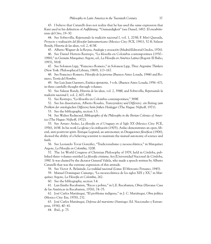43. I believe that Caturelli does not realize that he has used the same expression that Kant used in his definition of *Aufklärung:* "Unmundigkeit" (see Dussel, *1492: El encubrimiento del Otro*, 19–30.

44. See Sobrevilla, *Repensando la tradición nacional I*, vol. 1, 203ff; F. Miró Quesada, *Proyecto y realización del filosofar latinoamericano* (Mexico City: FCE, 1981), 52 ff; Salazar Bondy, *Historia de las ideas*, vol. 2, 413ff.

45. Alberto Wagner de la Reyna, *Analogía y evocación* (Madrid:Editorial Gredos, 1976).

46. See Daniel Herrera Restrepo, "La filosofía en Colombia contemporánea (1930– 1988)," in Germán Marquínez Argote, ed., *La Filosofía en América Latina* (Bogotá: El Buho, 1993), 381ff.

47. See Solomon Lipp, "Francisco Romero," in Solomon Lipp, *Three Argentine Thinkers* (New York: Philosophical Library, 1969), 113–167.

48. See Francisco Romero, *Filosofía de la persona* (Buenos Aires: Losada, 1944) and Romero, *Teoría del Hombre*.

49. See Luis Juan Guerrero, *Estética operatoria,* 3 vols. (Buenos Aires: Losada, 1956–67), in three carefully thought-through volumes.

50. See Salazar Bondy, *Historia de las ideas*, vol. 2, 394ff; and Sobrevilla, *Repensando la tradición nacional I*, vol. 2, 607–854.

51. See Restrepo, "La filosofía en Colombia contemporánea," 389ff.

52. See his dissertation, Alberto Rosales, *Transzendenz und Differenz: ein Beitrag zum Problem der ontologischen Differenz beim frühen Heidegger* (The Hague: Nijhoff, 1971).

53. See the bibliography, section 3.3.

54. See Walter Redmond, *Bibliography of the Philosophy in the Iberian Colonies of America* (The Hague: Nijhoff, 1972).

55. See Arturo Ardao, *La filosofía en el Uruguay en el Siglo XX* (Mexico City: FCE, 1956), 163ff. In his work *La iglesia y la civilización* (1905), Ardao demonstrates an open, liberal, anti-positivist spirit. Enrique Legrand, an astronomer, in *Divagaciones filosóficas* (1906), showed the ability of a believing scientist to maintain the mutual autonomy of science and faith.

56. See Leonardo Tovar González, "Tradicionalismo y neoescolástica," in Marquínez Argote, *La Filosofía en Colombia*, 320ff.

57. The 1st World Congress of Christian Philosophy of 1979, held in Córdoba, published three volumes entitled *La filosofía cristiana, hoy* [Universidad Nacional de Córdoba, 1980. It was chaired by the dictator General Videla, who made a speech written by Alberto Caturelli that was the extreme expression of this attitude.

58. See Victor A. Belaúnde, *La realidad nacional* (Lima: El Mercurio Peruano, 1945).

59. Manuel Dominguez Camargo, "La neoescolástica de los siglos XIX y XX," in Marquínez Argote, *La Filosofía en Colombia*, 262.

60. See the bibliography, section 3.4.

61. Luis Emilio Recabarren, "Ricos y pobres," in L.E. Recabarren, *Obras* (Havana: Casa de las Américas in Recabarren, 1976), 74–75.

62. José Carlos Mariátegui, "El problema indígena," in J. C. Mariátegui, *Obra política* (Mexico City: Era, 1978), 232.

63. José Carlos Mariátegui, *Defensa del marxismo* (Santiago: Ed. Nacionales y Extranjeras, 1934), 40–41.

64. Ibid., p. 75.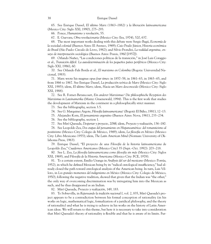65. See Enrique Dussel, *El último Marx (1863–1882) y la liberación latinoamericana* (Mexico City: Siglo XXI, 1990), 275–293.

66. Ponce, *Humanismo y revolución*, 55.

67. E. Guevara, *Obra revolucionaria* (Mexico City: Era, 1974), 520, 637.

68. The most important works dealing with this debate were Sergio Bagú, *Economía de la sociedad colonial* (Buenos Aires: El Ateneo, 1949); Caio Prado Júnior, *Historia econômica do Brasil* (São Paulo: Circulo do Livro, 1982); and Silvio Frondizi, *La realidad argentina, ensayo de interpretación sociológica* (Buenos Aires: Praxis, 1960 [1957]).

69. Orlando Nuñez, "Las condiciones políticas de la transición," in José Luis Coraggio et al., *Transición difícil. La autodeterminación de los pequeños países periféricos* (Mexico City: Siglo XXI, 1986), 60.

70. See Orlando Fals Borda et al., *El marxismo en Colombia* (Bogota: Universidad Nacional, 1983).

71. Marx wrote his magnus opus *four times*: in 1857–58, in 1861–63, in 1863–65, and from 1866 to 1867. See Enrique Dussel, *La producción teórica de Marx* (Mexico City: Siglo XXI, 1985); idem, *El último Marx*; idem, *Hacia un Marx desconocido* (Mexico City: Siglo XXI, 1988).

72. See R. Fornet-Betancourt, *Ein anderer Marxismus? Die philosophische Rezeption des Marxismus in Lateinamerika* (Mainz: Gruenewald, 1994). This is the first work that studies the development of Marxism in the continent in a philosophically strict manner.

73. See the bibliography, section 3.5.

74. See G. Marquinez Argote, *Filosofía latinoamericana?* (Bogotá: El Búho, 1981), 12–13.

75. Alejandro Korn, *El pensamiento argentino* (Buenos Aires: Nova, 1961), 233–234.

76. See the bibliography, section 1.

77. See Miró Quesada, *Despertar y proyecto*, 208ff; idem, *Proyecto y realización*, 136–180.

78. See Leopoldo Zea, *Dos etapas del pensamiento en Hispanoamérica: del romanticismo al positivismo* (Mexico City: Colegio de México, 1949); idem, *La filosofía en México* (Mexico City: Libro Mexicano 1955); idem, *The Latin American Mind* (Norman: University of Oklahoma Press, 1963).

79. Enrique Dussel, "El proyecto de una *Filosofía de la historia latinoamericana* de Leopoldo Zea," *Cuadernos Americanos* (Mexico City) 35 (Sept.–Oct. 1992): 203–218.

80. See L. Zea, *La filosofía latinoamericana como filosofía sin más* (Mexico City: Siglos XXI, 1969), and *Filosofía de la Historia Americana* (Mexico City: FCE, 1978).

81. To a certain extent, Emilio Uranga in *Análysis del ser del mexicano* (Mexico: Porrúa, 1952), in which he defined Mexican being by its "radical ontological insufficiency," had already closed the path toward ontological analysis of the American being. In turn, Luis Villoro, in *Los grandes momentos del indigenismo en México* (Mexico City: Colegio de México, 1950), following the negative tradition, showed that given that the Indian was "the other," the only way of overcoming discrimination was by intregating him into the Mexican as such, and he thus disappeared as an Indian.

82. Miró Quesada, *Proyecto y realización*, 149, 183.

83. To Sobrevilla, in *Repensando la tradición nacional I*, vol. 2, 835, Miró Quesada's project appears to be a contradiction between his formal conception of rationality (in his works on logic, mathematical logic, formalization of a juridical philosophy, and the theory of rationality) and what he is trying to achieve in his works on the history of Latin American ideas. We will return to this theme, but here it is necessary to take into consideration that Miró Quesada's theory of rationality is flexible and that he is aware of its limits. Fur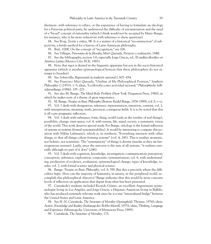thermore, with reference to ethics, or the experience of having to formulate an ideology for a Peruvian political party, he understood the difficulty of axiomatization and the need of a "broad" concept of rationality (which I think would not be accepted by Mario Bunge, for instance, who is far more reductivist with reference to these questions).

84. See Roig, *Teoría y crítica*, 9ff. It is a matter of a historical "reconstruction" of subjectivity, a fertile method for a history of Latin American philosophy.

85. Ibid., 100ff. On the concept of "recognition," see 106.

86. See Villegas, *Panorama de la filosofía*; Miró Quesada, *Proyecto y realización*, 184ff.

87. See the bibliography, section 3.6, especially Jorge Gracia, ed., *El análisis filosófico en América Latina* (Mexico City: FCE, 1985).

88. Note that rigor is desired in the linguistic apparatus but not in the socio-historical apparatus (which is another epistemological horizon that these philosophers do not attempt to broaden).

89. See Sobrevilla, *Repensando la tradición nacional I*, 607–854.

90. See Francisco Miró Quesada, "Outline of My Philosophical Position," *Southern Philosopher* 2 (1953): 1–5; idem, "La filosofía como actividad racional," *Philosophische Selbstdarstellunge* (1986): 195–203.

91. See also M. Bunge, *The Mind-Body Problem* (New York: Pergamon Press, 1980), in which he makes note of a theme of great importance.

92. M. Bunge, *Treatise on Basic Philosophy* (Boston: Reidel Bunge, 1974–1989), vol. 8, v–vi.

93. Vol. 1 deals with designation, reference, representation, intention, content; vol. 2, with interpretation, meaning, truth, precision, contiguous fields. It is to be noted that this is all a pre-pragmatic reflection.

94. Vol. 3 deals with substance, form, thing, world (only as the totality of real things), possibility, change, time-space; vol. 4, with system, life, mind, society, a systematic vision of the world. This work deserves special study. For Bunge, ontology is the formal reflection of systems as systems (formal systematizability). It would be interesting to compare this position with Niklas Luhmann's, which is, in synthesis, "Everything interacts with other things, so that all things cohere forming systems" (vol. 4, 245). This is neither atomistic, nor holistic, nor scientistic. The "systematicity" of things is diverse (insofar as they are heterogeneous systems). Lastly, since the universe is the sum of all systems, "it endures eternally although no part of it does" (246).

95. Vol. 5 deals with cognition, knowledge, investigation, communication; perception, conception, inference, exploration, conjecture, systematization; vol. 6, with understanding, production of evidence, evaluation, epistemological change, types of knowledge, results; vol. 7, with formal science and physical science.

96. Bunge, *Treatise on Basic Philosophy*, vol. 8, 398. But this is precisely where the difficulties *begin.* How can the majority of humanity, in misery, in the peripheral world, accomplish this philosophical objective? Bunge indicates that this would be more concrete levels of reflection on application that depart from what has been presented.

97. Castañeda's students included Ricardo Gómez, an excellent Argentinian epistemologist living in Los Angeles, and Jorge Gracia, a Hispanic-American living in Buffalo, who has produced extremely relevant work since he is a true "intercultural bridge" between the United States and Latin America.

98. See H.-N. Castañeda, *The Structure of Morality* (Springfield: Thomas, 1974); idem, *Action, Knowledge and Reality* (Indianapolis: Bobbs-Merrill, 1975); idem, *Thinking, Language and Experience* (Minneapolis: University of Minnesota Press, 1989).

99. Castañeda, *The Structure of Morality*, 175.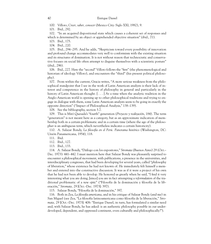100. Villoro, *Creer, saber, conocer* (Mexico City: Siglo XXI, 1982), 9.

101. Ibid., 292.

102. "In an acquired dispositional state which causes a coherent set of responses and which is determined by an object or apprehended objective situation" (ibid., 71).

103. Ibid., 175.

104. Ibid., 220.

105. Ibid., 294–295. And he adds, "Skepticism toward every possibility of innovation and profound change accommodates very well to conformism with the existing situation and its structures of domination. It is not without reason that technocratic and conservative focuses on social life often attempt to disguise themselves with a scientistic posture" (ibid., 296).

106. Ibid., 227. Here the "second" Villoro follows the "first" (the phenomenological and historian of ideology Villoro), and encounters the "third" (his present political philosophy).

107. From within the current, Gracia writes, "A more serious weakness from the philosophical standpoint that I see in the work of Latin American analysts is their lack of interest and competence in the history of philosophy in general and particularly in the history of Latin American thought. [ . . . ] At a time when the analytic tradition in the Anglo-American world is opening up to other philosophical traditions and trying to engage in dialogue with them, some Latin American analysts seem to be going in exactly the opposite direction" ("Impact of Philosophical Analysis," 138–139).

108. See the bibliography, section 3.7.

109. This is Miró Quesada's "fourth" generation (*Proyecto y realización*, 184). The term "generation" is not meant here as a category, but as an approximate indication of membership both in a certain problematic and in a certain time (where the age of the philosopher is an ambiguous term, which nevertheless indicates a certain historicity).

110. A. Salazar Bondy, *La filosofía en el Perú. Panorama histórico* (Washington, DC: Unión Panamericana, 1954), 118.

111. Ibid.

112. Ibid., 127.

113. Ibid., 133.

114. A. Salazar Bondy, "Diálogo con los expositores," *Stromata* (Buenos Aires) 29 (Oct.– Dec. 1973): 441–442. I must mention here that Salazar Bondy was pleasantly surprised to encounter a philosophical movement, with publications, a presence in the universities, and interdisciplinary congresses, that had been developing for several years, called "philosophy of liberation," whose existence he had not known of. He inmediately felt himself a member and entered into the constructive discussion. It was as if it were a project of his own that he had not been able to develop. He honored us greatly when he said, "I find it very interesting what you are doing, [since] you are in fact attempting a *reformulation* of the traditional problematic of a *new optic*" ("Filosofía de la dominación y filosofía de la liberación," *Stromata,* 29 [Oct.–Dec. 1973]: 397).

115. Salazar Bondy, "Filosofía de la dominación," 397.

116. Both in Zea, *La filosofía americana*, and in his critique of Salazar Bondy (and me) in San Miguel (see Zea, "La filosofía latinoamericana como filosofía de la liberación," *Stromata,* 29 [Oct.–Dec. 1973]: 406: "Enrique Dussel, in turn, has formulated a similar need and, with Salazar Bondy, he has asked: is an authentic philosophy possible in our underdeveloped, dependent, and oppressed continent, even culturally and philosophically?").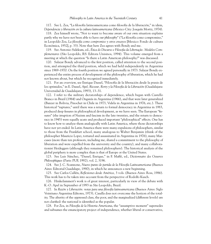117. See L. Zea, "La filosofía latinoamericana como filosofía de la liberación," in idem, *Dependencia y liberación en la cultura latinoamericana* (Mexico City: Joaquín Mortiz, 1974).

118. Zea himself wrote, "Not to want to become aware of our own situation explains partly why we have not been able to have *our philosophy*" ("La filosofía como compromiso," in Leopoldo Zea, *La filosofía como compromiso y otros ensayos* [Mexico: Fondo de cultura Económica, 1952], p. 33). Note that here Zea agrees with Bondy and me.

119. See Antonio Sidekum, ed., *Ética do Discurso e Filosofia da Libertaçâo. Modelos Complementares* (São Leopoldo, RS: Editora Unisinos, 1994). This volume emerged from a meeting at which the question "Is there a Latin American philosophy?" was discussed.

120. Salazar Bondy advanced to the first position, called attention to the second position, and attempted the third position, which we had held independently in Argentina since 1969–1970. On the fourth position we agreed personally in 1973. Salazar Bondy experienced the entire process of development of the philosophy of liberation, which he had not known about, but which he recognized inmediately.

121. For an overview, see Enrique Dussel, "Filosofía de la liberación desde la praxis de los oprimidos," in E. Dussel, *Apel, Ricoeur, Rorty y la Filosofía de la Liberación* (Guadalajara: Universidad de Guadalajara, 1993), 13–31.

122. I refer to the military dictatorships of dependence, which began with Castello Branco in Brazil (1964) and Onganía in Argentina (1966), and that were later generalized (Banzer in Bolivia, Pinochet in Chile in 1973, Videla in Argentina in 1976, etc.). These historical "ruptures," until there was a return to formal democracy in Argentina in 1983, produced deep fissures in philosophical development, as we have seen. The European "fissures" (the irruption of Nazism and fascism in the late twenties, and the return to democracy in 1945) were equally acute and produced important "philosophical" effects. One has to know how to analyze them analogically with Latin America, where those dictatorships have not yet ended. In Latin America there were many expulsions of philosophers, similar to those from the Frankfurt school, many analogous to Walter Benjamin (think of the philosopher Mauricio Lopez, tortured and assassinated in Argentina in 1976), many Marcuses (more than ten professors, including me, shared a commitment to the philosophy of liberation and were expelled from the university and the country), and many collaborationist Heideggers (although they remained philosophers). The historical analysis of the global periphery is more complex than is that of Europe or the United States.

123. See Luis Sánchez, "Dussel, Enrique," in F. Maffé, ed., *Dictionnaire des Oeuvres Philosophiques* (Paris: PUF, 1992), vol. 2, 3196.

124. See J. C. Scannone, *Nuevo punto de partida de la Filosofía Latinoamericana* (Buenos Aires: Editorial Guadalupe, 1990), in which he announces a new beginning.

125. See Carlos Cullén, *Reflexiones desde América,* 3 vols. (Buenos Aires: Ross, 1986). This work has to be taken into account from the perspective of Rodolfo Kusch.

126. Hinkelammert's work is of great interest, particularly in view of the debate with K.-O. Apel in September of 1993 in São Leopoldo, Brazil.

127. In *Razón y Liberación: notas para una filosofía latinoamericana* (Buenos Aires: Siglo Veintiuno Argentina Editores, 1973)*,* Casalla does not overcome the horizon of the totality. The alterity of the oppressed class, the poor, and the marginalized (different levels) are not clarified: the national is identified as the popular.

128. For Zea, in *Filosofía de la Historia Americana*, the "assumptive moment" supersedes and subsumes the emancipatory project of independence, whether liberal or conservative,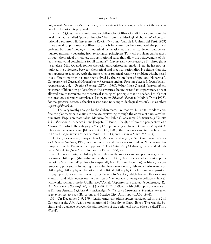but, as with Vasconcelos's *cosmic race,* only a *national* liberation, which is not the same as popular liberation, is proposed.

129. Miró Quesada's commitment to philosophy of liberation did not come from the level of what he called "pure philosophy," but from the "ideological character" of certain rational discourses. His *Humanismo y Revolución* (Lima: Casa de la Cultura del Perú, 1969) is not a work of philosophy of liberation, but it indicates how he formulated the political problem. For him, "ideology"—theoretical justification at the practical level—can be formulated rationally departing from teleological principles: "Political problems can be faced through theoretical principles, through rational rules that allow the achievement of objective and valid conclusions for all humans" (*Humanismo y Revolución*, 21). Throughout his analysis, Miró Quesada follows the rationalist Aristotelian model. Here, he has not formulated the difference between theoretical and practical rationality. He thinks that the first operates in ideology with the same rules as practical reason (a problem which, posed in a different manner, has not been solved by the rationalism of Apel and Habermas). Compare Miró Quesada's *Humanismo y Revolución* and my *Para una ética de la liberación latinoamericana,* vol. 4, *Politics* (Bogotá: USTA, 1980). When Miró Quesada learned of the existence of liberation philosophy, in the seventies, he understood its importance, since it allowed him to formulate the theoretical-ideological principle that he needed. I think that the question is far more complex, as I show in my *Ethics of Liberation* (Madrid: Trotta 1998). For me, practical reason is the first reason (and not simply ideological reason), just as ethics is *prima philosophia.*

130. The very worthy analysis by the Cuban team, like that by H. Cerutti, tends to confuse the planes, since it claims to analyze everything through the criteria of a universalist, humanist "Engelsian materialist" Marxism (see Pablo Guadarrama, *Humanismo y Filosofía de la Liberación en América Latina* [Bogotá: El Buho, 1993]), or from the perspective of a "classism" in which the category of "people" is populist (see Horacio Cerutti, *Filosofía de la Liberación Latinoamericana* [Mexico City: FCE, 1983]; there is a response to his objections in Dussel, *La producción teórica de Marx*, 400–413, and *El último Marx*, 243–293).

131. See, for instance, Enrique Dussel, *Liberación de la mujer y erótica latinoamericana* (Bogotá: Nueva América, 1980), with retractions and clarifications in idem, "Liberation Philosophy from the Praxis of the Oppressed," *The Underside of Modernity*, trans. and ed. Eduardo Mendieta (New York: Humanities Press, 1995), 2–18.

132. These currents, or philosophical styles, in the nineties are an epistemological and pragmatic philosophy (that subsumes analytic thinking), from out of the brain-mind problematic; a "continental" philosophy (especially from Kant to Habermas), as history of contemporary philosophy, including the modernity-postmodernity debate; a Latin American philosophy, philosophy of liberation, and political philosophy (this last one in expansion, through positions such as that of Carlos Pereyra in Mexico, which has as tributary some Marxism, and with debates on the question of "democracy" drawing on political science), with works such as those by Guillermo O'Donell, "Apuntes para una teoría del Estado," *Revista Mexicana de Sociología* 40, no. 4 (1978): 1157–1199; and with philosophical works such as Enrique Serrano, *Legitimación y racionalización. Weber y Habermas: la dimensión normativa de un orden secularizado* (Barcelona and Mexico City: Anthropos-UAM, 1994).

133. On December 5–9, 1994, Latin American philosophers participated in the 2nd Congress of the Afro-Asiatic Association of Philosophy in Cairo, Egypt. This was the beginning of a dialogue between the philosophers of the peripheral world (the so-called Third World).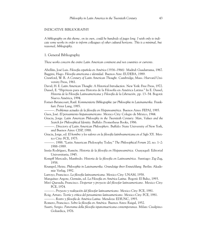#### INDICATIVE BIBLIOGRAPHY

*A bibliography on this theme, on its own, could be hundreds of pages long. I wish only to indicate some works in order to inform colleagues of other cultural horizons. This is a minimal, but reasoned, bibliography.*

#### 1. General Bibliography

*These works concern the entire Latin American continent and not countries or currents.*

Abellán, José Luis. *Filosofía española en América (1936–1966).* Madrid: Guadarrama, 1967. Baggini, Hugo. *Filosofía americana e identidad.* Buenos Aire: EUDEBA, 1989.

- Crawford, W. R. *A Century of Latin American Thought.* Cambridge, Mass.: Harvard University Press, 1961.
- David, H. E. *Latin American Thought: A Historical Introduction.* New York: Free Press, 1972.
- Dussel, E. "Hipótesis para una Historia de la Filosofía en América Latina." In E. Dussel, *Historia de la Filosofía Latinoamericana y Filosofía de la Liberación,* pp. 13–54. Bogotá: Nueva América, 1994.
- Fornet-Betancourt, Raúl. *Kommentierte Bibliographie zur Philosophie in Lateinamerika.* Frankfurt: Peter Lang, 1985.

———. *Problemas actuales de la filosofía en Hispanoamérica.* Buenos Aires: FEPAI, 1985.

- Gaos, José. *El pensamiento hispanoamericano.* Mexico City: Colegio de México, 1944.
- Gracia, Jorge. *Latin American Philosophy in the Twentieth Century: Man, Values and the Search for Philosophical Identity.* Buffalo: Prometheus Books, 1986.

———. *Directory of Latin American Philosophers.* Buffalo: State University of New York, and Buenos Aires: CISP, 1988.

- Gracia, Jorge, ed. *El hombre y los valores en la filosofía latinboamericana en el Siglo XX.* Mexico City: FCE, 1975.
	- ———. 1988. "Latin American Philosophy Today." *The Philosophical Forum* 20, no. 1–2: 1988–1989.
- Insúa Rodríguez, Ramón. *Historia de la filosofía en Hispanoamérica.* Guayaquil: Editorial Universitaria, 1945.
- Kempff Mercado, Manfredo. *Historia de la filosofía en Latinoamérica.* Santiago: Zig-Zag, 1958.
- Krumpel, Heinz. *Philosophie in Lateinamerika. Grundzüge ihrer Entwicklung.* Berlin: Akademie Verlag, 1992.
- Larroyo, Francisco. *La filosofía latinoamericana.* Mexico City: UNAM, 1958.
- Marquínez Argote, Germán, ed. *La Filosofía en América Latina.* Bogotá: El Buho, 1993.
- Miró Quesada, Francisco. *Despertar y proyecto del filosofar latinoamericano.* Mexico City: FCE, 1974.
	- ———. *Proyecto y realización del filosofar latinoamericano.* Mexico City: FCE, 1981.
- Roig, Arturo. *Teoría y crítica del pensamiento latinoamericano.* Mexico City: FCE, 1981.
- ———. *Rostro y filosofía de América Latina.* Mendoza: EDIUNC, 1993.
- Romero, Francisco. *Sobre la filosofía en América.* Buenos Aires: Raigal, 1952.
- Saarti, Sergio. *Panorama della filosofía ispanomaericana contemporanea.* Milan: Cisalpino-Goliardica, 1976.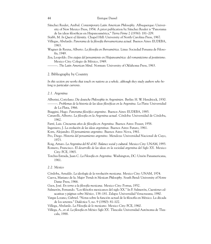Sánchez Reulet, Aníbal. *Contemporary Latin American Philosophy.* Albuquerque: University of New Mexico Press, 1954. A prior publication by Sánchez Reulet is "Panorama de las ideas filosóficas en Hispanoamérica," *Tierra Firme* 2 (1936): 181–209.

Stabb, M. *In Quest of Identity.* Chapel Hill: University of North Carolina Press, 1967.

Villegas, Abelardo. *Panorama de la filosofía iberoamericana actual.* Buenos Aires: EUDEBA, 1963.

- Wagner de Reyna, Alberto. *La filosofía en Iberoamérica.* Lima: Sociedad Peruana de Filosofía, 1949.
- Zea, Leopoldo. *Dos etapas del pensamiento en Hispanoamérica: del romanticismo al positivismo.* Mexico City: Colegio de México, 1949.

———. *The Latin American Mind.* Norman: University of Oklahoma Press, 1963.

#### 2. Bibliography by Country

*In this section are works that touch on nations as a whole, although they study authors who belong to particular currents.*

#### *2.1. Argentina*

Alberini, Coriolano. *Die deutsche Philosophie in Argentinien.* Berlin: H. W. Hendriock, 1930. ———. *Problemas de la historia de las ideas filosóficas en la Argentina.* La Plata: Universidad de La Plata, 1966.

Biaggini, Hugo. *Panorama filosófico argentino.* Buenos Aires: EUDEBA, 1985.

- Caturelli, Alberto. *La filosofía en la Argentina actual.* Córdoba: Universidad de Córdoba, 1962.
- Farré, Luis. *Cincuenta años de filosofía en Argentina.* Buenos Aires: Peuser, 1958.

Ingeniero, J. *La evolución de las ideas argentinas.* Buenos Aires: Futuro, 1961.

Korn, Alejandro. *El pensamiento argentino.* Buenos Aires: Nova, 1961.

Pro, Diego. *Historia del pensamiento argentino.* Mendoza: Universidad Nacional de Cuyo, 1973.

Roig, Arturo. *La Argentina del 80 al 80. Balance social y cultural.* Mexico City: UNAM, 1993.

- Romero, Francisco. *El desarrollo de las ideas en la sociedad argentina del Siglo XX.* Mexico City: FCE, 1965.
- Torchia Estrada, Juan C. *La Filosofía en Argentina.* Washington, DC: Unión Panamericana, 1961.

#### *2.2. Mexico*

Córdoba, Arnaldo. *La ideología de la revolución mexicana.* Mexico City: UNAM, 1974.

Cueva, Mariano de la. *Major Trends in Mexican Philosophy.* South Bend: University of Notre Dame Press, 1966.

Gaos, José. *En torno a la filosofía mexicana.* Mexico City: Porrua, 1952.

- Salmerón, Fernando. "Los filósofos mexicanos del siglo XX." In F. Salmerón, *Cuestiones educativas y páginas sobre México,* 138–181. Zalapa: Universidad Veracruzana, 1980.
- Vargas Lozano, Gabriel. "Notas sobre la función actual de la filosofía en México. La década de los setenta." *Dialéctica* 5, no. 9 (1980): 81–102.

Villega, Abelardo. *La Filosofía de lo mexicano.* Mexico City: FCE, 1960.

Villega, A., et al. *La filosofía en México Siglo XX.* Tlaxcala: Universidad Autónoma de Tlaxcala, 1988.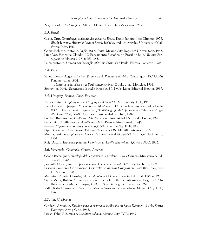Zea, Leopoldo. *La filosofía en México.* Mexico City: Libro Mexicano, 1955.

*2.3. Brazil*

Costa, Cruz. *Contribuçâo à história das idéias no Brasil.* Rio di Janeiro: José Olimpio, 1956. (English trans., *History of Ideas in Brazil,* Berkeley and Los Angeles: University of California Press, 1964).

Gómez Robledo, Antonio. *La filosofía en Brasil.* Mexico City: Imprenta Universitaria, 1946.

Lima Vaz, Henrique Cláudio. "O Pensamento filosófico no Brasil de hoje." *Revista Portuguêsa de Filosofía* (1961): 267–285.

Paim, Antonio. *Historia das Idéias filosóficas no Brasil.* São Paulo: Editora Convivio, 1984.

*2.4. Peru*

Salazar Bondy, Augusto. *La filosofía en el Perú. Panorama histórico.* Washington, DC: Unión Panamericana, 1954.

———. *Historia de las ideas en el Perú contemporáneo.* 2 vols. Lima: Moncloa, 1967. Sobrevilla, David. *Repensando la tradición nacional I.* 2 vols. Lima: Editorial Hipatia, 1989.

*2.5. Uruguay, Bolivia, Chile, Ecuador*

Ardao, Arturo. *La filosofía en el Uruguay en el Siglo XX.* Mexico City: FCE, 1956.

Barcelo Larraín, Joaquín. "La actividad filosófica en Chile en la segunda mitad del siglo XX." In Fernando Astorquiza, ed., *Bio-Bibliografía de la filosofía en Chile desde el siglo XVI hasta 1980*, 56–80*.* Santiago: Universidad de Chile, 1982.

Escobar, Roberto. *La filosofía en Chile.* Santiago: Universidad Técnica del Estado, 1976. Francovich, Guillermo. *La filosofía en Bolivia.* Buenos Aires: Losada, 1945.

———. *El pensamiento boliviano en el siglo XX.* Mexico City: FCE, 1956.

Lipp, Solomon. *Three Chilean Thinkers.* Waterloo, ON: McGill University, 1975.

Molina, Enrique. *La filosofía en Chile en la primera mitad del Siglo XX.* Santiago: Nacimiento, 1951.

Roig, Arturo. *Esquemas para una historia de la filosofía ecuatoriana.* Quito: EDUC, 1982.

*2.6. Venezuela, Colombia, Central America*

García Bacca, Juan. *Antología del Pensamiento venezolano.* 3 vols. Caracas: Ministerio de Educación, 1964.

Jaramillo Uribe, Jaime. *El pensamiento colombiano en el siglo XIX.* Bogotá: Temis, 1974.

Lascaris Conneno, Constantino. *Desarrollo de las ideas filosóficas en Costa Rica.* San José: Ed. Studium, 1983.

Marquínez Argote, Germán, ed. *La Filosofía en Colombia.* Bogotá: Editorial el Búho, 1988. Sierra Mejía, Rubén. "Temas y corrientes de la filosofía colombiana en el siglo XX." In Rubén Sierra Mejía, *Ensayos filosóficos,* 91–126. Bogotá: Colcultura, 1978.

Valle, Rafael. *Historia de las ideas contemporáneas en Centroamérica.* Mexico City: FCE, 1960.

#### *2.7. The Caribbean*

Cordero, Armando. *Estudios para la historia de la filosofía en Santo Domingo.* 2 vols. Santo Domingo: Arte y Cine, 1962.

Lizaso, Félix. *Panorama de la cultura cubana.* Mexico City: FCE., 1949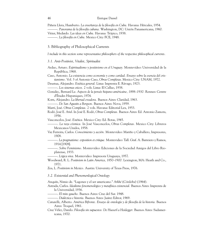Piñera Llera, Humberto. *La enseñanza de la filosofía en Cuba.* Havana: Hércules, 1954. ———. *Panorama de la filosofía cubana.* Washington, DC: Unión Panamericana, 1960. Vitier, Medardo. *Las ideas en Cuba.* Havana: Trópico, 1938. ———. *La filosofía en Cuba.* Mexico City: FCE, 1948.

### 3. Bibliography of Philosophical Currents

*I include in this section some representative philosophers of the respective philosophical currents.*

*3.1. Anti-Positivist, Vitalist, Spiritualist* 

- Ardao, Arturo. *Espiritualismo y positivismo en el Uruguay.* Montevideo: Universidad de la República, 1968.
- Caso, Antonio. *La existencia como economía y como caridad. Ensayo sobre la esencia del cristianismo.* Vol. 3 of Antonio Caso, *Obras Completas*. Mexico City: UNAM, 1972.
- Deustua, Alejandro. *Estética general.* Lima: Imprenta E. Rávago, 1923.

———. *Los sistemas eticos.* 2 vols. Lima: El Callao, 1938.

- Gonidec, Bernard Le. *Aspects de la pensée hispano-américaine, 1898–1930.* Rennes: Centre d'Études Hispaniques, 1974.
- Korn, Alejandro. *La libertad creadora.* Buenos Aires: Claridad, 1963.
- ———. *De San Agustin a Bergson.* Buenos Aires: Nova, 1959.

Martí, José. *Obras Completas.* 2 vols. Havana: Editorial Lex, 1953.

- Rodó, José E. *Ariel*. In José E. Rodó, *Obras Completas.* Buenos Aires: Ed. Antonio Zamora, 1956.
- Vasconcelos, José. *Estética.* Mexico City: Ed. Botas, 1945.
- ———. *La raza cósmica.* In José Vasconcelos, *Obras Completas.* Mexico City: Libreros Mexicanos Unidos, 1958.
- Vaz Ferreira, Carlos. *Conocimiento y acción.* Montevideo: Mariño y Caballero, Impresores, 1908.
- ———. *La pragmatisme: exposition et critique.* Montevideo: Tall. Graf. A. Barreiero y Ramos, 1914 [1908].
- ———. *Sobre Feminismo.* Montevideo: Ediciones de la Sociedad Amigos del Libro Rioplatense, 1933.

———. *Lógica viva.* Montevideo: Impresora Uruguaya, 1957.

- Woodward, R. L. *Positivism in Latin America, 1850–1900.* Lexington, MA: Heath and Co., 1971.
- Zea, L. *Positivism in Mexico.* Austin: University of Texas Press, 1976.

#### *3.2. Existential and Phenomenlogical Ontology*

Anquín, Nimio de. "Lugones y el ser americano." *Arkhé* (Córdoba) (1964).

- ———. *El mito gaucho.* Buenos Aires: Cruz del Sur. 1948.
- ———. *Dialéctica e historia.* Buenos Aires: Juárez Editor, 1969.
- Caturelli, Alberto. *América Bifronte. Ensayo de ontología y de filosofía de la historia.* Buenos Aires: Troquel, 1961.
- Cruz Vélez, Danilo. *Filosofía sin supuestos: De Husserl a Heidegger.* Buenos Aires: Sudamericana, 1970.

Astrada, Carlos. *Idealismo fenomenológico y metafísica existencial.* Buenos Aires: Imprenta de la Universidad, 1936.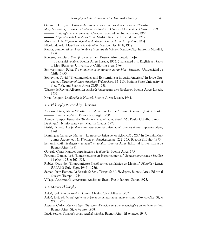Guerrero, Luis Juan. *Estética operatoria.* 2 vols. Buenos Aires: Losada, 1956–67.

Mayz Vallenilla, Ernesto. *El problema de América.* Caracas: Universidad Central, 1959.

———. *Ontología del conocimiento.* Caracas: Facultad de Humanidades, 1960.

- Romero, Francisco. *Filosofía de la persona.* Buenos Aires: Losada, 1944.
- ———. *Teoría del hombre.* Buenos Aires: Losada, 1952. (Translated into English as *Theory of Man* [Berkeley: University of California Press, 1964].)
- Schwartzmann, Félix. *El sentimiento de lo humano en América.* Santiago: Universidad de Chile, 1950.
- Sobrevilla, David. "Phenomenology and Existentialism in Latin America." In Jorge Gracia, ed., *Directory of Latin American Philosophers,* 85–113*.* Buffalo: State University of New York, and Buenos Aires: CISP, 1988.
- Wagner de Reyna, Alberto. *La ontología fundamental de y Heidegger.* Buenos Aires: Losada, 1939.
- Xirau, Joaquín. *La filosofía de Husserl.* Buenos Aires: Losada, 1941.

*3.3. Philosophy Practiced by Christians*

Amoroso Lima, Alceu. "Maritain et l'Amérique Latine." *Revue Thomiste* 1 (1948): 12–48. ———. *Obras completas.* 35 vols. Rio: Agir, 1960.

Arruba Campos, Fernando. *Tomismo e neotomismo no Brasil.* São Paulo: Grijalbo, 1968. De Anquín, Nimio. *Ente y ser.* Madrid: Gredos, 1972.

- Derisi, Octavio. *Los fundamentos metafísicos del orden moral.* Buenos Aires: Imprenta López, 1941.
- Dominguez Camargo, Manuel. "La neoescolástica de los siglos XIX y XX." In Germán Marquínez Argote, ed., *La Filosofía en América Latina,* 227–265*.* Bogotá: El Buho, 1993.
- Echauri, Raúl. *Heidegger y la metafísica tomista.* Buenos Aires: Editorial Universitaria de Buenos Aires, 1971.

Gonzalo Casas, Manuel. *Introducción a la filosofía.* Buenos Aires, 1954.

Perdomo Garcia, José. "El maritenismo en Hispanoamérica." *Estudios americanos* (Seville) 11 (Oct. 1951): 567–592.

Robles, Oswaldo. "El movimiento filosófico neoescolástico en México." *Filosofía y Letras* (UNAM) (July–Sept. 1946): 178ff.

Sepich, Juan Ramón. *La filosofia de Ser y Tiempo de M. Heidegger.* Buenos Aires: Editorial Nuestro Tiempo, 1954.

Villaça, Antonio. *O pensamiento católico no Brasil.* Rio di Janeiro: Zahar, 1975.

#### *3.4. Marxist Philosophy*

Aricó, José. *Marx y América Latina.* Mexico City: Alianza, 1982.

- Aricó, José, ed. *Mariátegui y los orígenes del marxismo latinoamericano.* Mexico City: Siglo XXI, 1978.
- Astrada, Carlos. *Marx y Hegel: Trabajo y alienación en la Fenomenología y en los Manuscritos.* Buenos Aires: Siglo Veinte, 1958.
- Bagú, Sergio. *Economía de la sociedad colonial.* Buenos Aires: El Ateneo, 1949.

<sup>———.</sup> *El problema de la nada en Kant.* Madrid: Revista de Occidente, 1965.

Murena, H. A. *El pecado original de América.* Buenos Aires: Grupo Sur, 1954.

Nicol, Eduardo. *Metafísica de la expresión.* Mexico City: FCE, 1957.

Ramos, Samuel. *El perfil del hombre y la cultura de México.* Mexico City: Imprenta Mundial, 1934.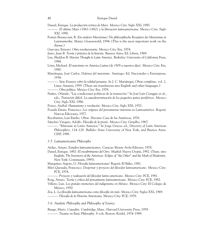Dussel, Enrique. *La producción teórica de Marx.* Mexico City: Siglo XXI, 1985.

———. *El último Marx (1863–1882) y la liberación latinoamericana.* Mexico City: Siglo XXI. 1990.

Fornet-Betancourt, R. *Ein anderer Marxismus? Die philosophische Rezeption des Marxismus in Lateinamerika.* Mainz: Gruenewald, 1994. (This is the most important work on the theme.)

Guevara, Ernesto. *Obra revolucionaria.* Mexico City: Era, 1974.

Justo, Juan B. *Teoría y práctica de la historia.* Buenos Aires: Ed. Libera, 1969.

Liss, Sheldon B. *Marxist Thought in Latin America.* Berkeley: University of California Press, 1984.

Löwy, Michael. *El marxismo en America Latina (de 1909 a nuestros días).* Mexico City: Era, 1980.

Mariátegui, José Carlos. *Defensa del marxismo.* Santiago: Ed. Nacionales y Extranjeras, 1934.

———. *Siete Ensayos sobre la relidad peruana.* In J. C. Mariátegui, *Obras completas,* vol. 2. Lima: Amauta, 1959. (There are translations into English and other languages.)

———. *Obra política.* Mexico City: Era, 1978.

Nuñez, Orlando. "Las condiciones políticas de la transición." In José Luis Coraggio et al., eds., *Transición difícil. La autodeterminación de los pequeños países periféricos.* Mexico City: Siglo XXI, 1986.

Ponce, Aníbal. *Humanismo y revolución.* Mexico City: Siglo XXI, 1970.

Posada Zárate, Francisco. *Los orígenes del pensamiento marxista en Latinoamérica.* Bogotá: Nuevas Ediciones, 1977.

Recabarren, Luis Emilio. *Obras.* Havana: Casa de las Américas, 1976.

Sánchez Vázquez, Adolfo. *Filosofía de la praxis.* Mexico City: Grijalbo, 1967.

———. "Marxism in Latin America." In Jorge Gracia, ed., *Directory of Latin American Philosophers,* 114–128*.* Buffalo: State University of New York, and Buenos Aires: CISP, 1988.

*3.5. Latinamericanist Philosophy*

Ardao, Arturo. *Estudios latinoamericanos.* Caracas: Monte Avila Editores, 1978.

Dussel, Enrique. *1492: El encubrimiento del Otro.* Madrid: Nueva Utopía, 1992. (Trans. into English, *The Inventory of the Americas: Eclipse of "the Other" and the Myth of Modernity.* New York: Continuum, 1995).

Marquínez Argote, G. *Filosofía latinoamericana?* Bogotá: El Búho, 1981.

Miró Quesada, Francisco. *Despertar y proyecto del filosofar latinoamericano.* Mexico City: FCE, 1974.

———. *Proyecto y realización del filosofar latino-americano.* Mexico City: FCE, 1981.

Roig, Arturo. *Teoría y crítica del pensamiento latinoamericano.* Mexico City: FCE, 1982.

Villoro, Luis. *Los grandes momentos del indigenismo en México.* Mexico City: El Colegio de México, 1950.

Zea, L. *La filosofía latinoamericana como filosofía sin más.* Mexico City: Siglos XXI, 1969. ———. *Filosofía de la Historia Americana.* Mexico City: FCE, 1978.

*3.6. Analytic Philosophy and Philosophy of Science*

Bunge, Mario. *Causality.* Cambridge, Mass.: Harvard University Press, 1959. ———. *Treatise on Basic Philosophy.* 8 vols. Boston: Reidel, 1974–1989.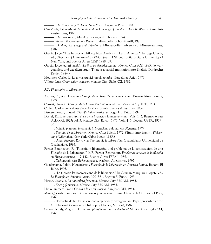———. *The Mind-Body Problem.* New York: Pergamon Press, 1980.

- Castañeda, Héctor-Neri. *Morality and the Language of Conduct.* Detroit: Wayne State University Press, 1963.
	- ———. *The Structure of Morality.* Springfield: Thomas, 1974.

———. *Action, Knowledge and Reality.* Indianapolis: Bobbs-Merrill, 1975.

———. *Thinking, Language and Experience.* Minneapolis: University of Minnesota Press, 1989.

- Gracia, Jorge. "The Impact of Philosophical Analysis in Latin America?" In Jorge Gracia, ed., *Directory of Latin American Philosophers,* 129–140*.* Buffalo: State University of New York, and Buenos Aires: CISP, 1988–89.
- Gracia, Jorge, ed. *El análisis filosófico en América Latina.* Mexico City: FCE, 1985. (A very complete and excellent study. There is a partial translation into English: Dordrecht: Reidel, 1984.)

Moulines, Carlos U. *La estructura del mundo sensible.* Barcelona: Ariel, 1973.

Villoro, Luis. *Creer, saber, conocer.* Mexico City: Siglo XXI, 1982.

#### *3.7. Philosophy of Liberation*

Ardiles, O., et al. *Hacia una filosofía de la liberación latinoamericana.* Buenos Aires: Bonum, 1974.

Cerutti, Horacio. *Filosofía de la Liberación Latinoamericana.* Mexico City: FCE, 1983.

Cullen, Carlos. *Reflexiones desde América.* 3 vols. Buenos Aires: Ross, 1986.

Demenchonok, Eduard. *Filosofía latinoamericana.* Bogotá: El Búho, 1992.

Dussel, Enrique. *Para una ética de la liberación latinoamericana.* Vols. 1–2, Buenos Aires: Siglo XXI, 1973; vol. 3, Mexico City: Edicol, 1977; Vols. 4–5, Bogotá: USTA, 1979– 80.

- ———. *Método para una filosofía de la liberación.* Salamanca: Sígueme, 1974.
- ———. *Filosofía de la Liberacion.* Mexico City: Edicol, 1977. (Trans. into English, *Philosophy of Liberation*. New York: Orbis Books, 1985.)
- ———. *Apel, Ricoeur, Rorty y la Filosofía de la Liberación.* Guadalajara: Universidad de Guadalajara, 1993.
- Fornet-Betancourt, R. "Filosofía y liberación, o el problema de la constitución de una Filosofía de la Liberación." In R. Fornet-Betancourt, *Problemas actuales de la filosofía en Hispanoamérica*, 117–142*.* Buenos Aires: FEPAI, 1985.

———. *Diskursethik oder Befreiungsethik.* Aachen: Augustinus, 1992.

- Guadarrama, Pablo. *Humanismo y Filosofía de la Liberación en América Latina.* Bogotá: El Buho, 1993.
	- ———. "La filosofía latinoamericana de la liberación." In Germán Marquínez Argote, ed., *La Filosofía en América Latina*, 309–361*.* Bogotá: El Buho, 1993.
- Hierro, Graciela. *La naturaleza femenina.* Mexico City: UNAM, 1985.

———. *Etica y feminismo.* Mexico City: UNAM, 1985.

Hinkelammert, Franz. *Crítica a la razón utópica.* San José: DEI, 1984.

- Miró Quesada, Francisco. *Humanismo y Revolución.* Lima: Casa de la Cultura del Perú, 1969.
	- ———. "Filosofía de la liberación: convergencias y divergencias." Paper presented at the 4th National Congress of Philosophy (Toluca, Mexico), 1987.
- Salazar Bondy, Augusto. *Existe una filosofía en nuestra América?* Mexico City: Siglo XXI, 1968.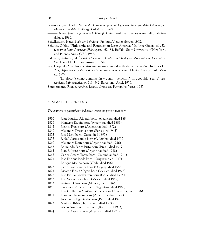- Scannone, Juan Carlos. *Sein und Inkarnation: zum ontologischen Hintergrund der Frühschriften Maurice Blondels.* Freiburg: Karl Alber, 1968.
	- ———. *Nuevo punto de partida de la Filosofía Latinoamericana.* Buenos Aires: Editorial Guadalupe, 1990.

Schelkshorn, Hans. *Ethik der Befreiung.* Freiburg/Vienna: Herder, 1992.

Schutte, Ofelia. "Philosophy and Feminism in Latin America." In Jorge Gracia, ed., *Directory of Latin American Philosophers,* 62–84*.* Buffalo: State University of New York, and Buenos Aires: CISP, 1988.

- Sidekum, Antonio, ed. *Ética do Discurso e Filosofica da Libertaçâo. Modelos Complementares.* São Leopoldo: Editora Unisinos, 1994.
- Zea, Leopoldo. "La filosofía latinoamericana como filosofía de la liberación." In Leopoldo Zea, *Dependencia y liberación en la cultura latinoamericana.* Mexico City: Joaquín Mortiz, 1974.
- ———. "La filosofía como dominación y como liberación." In Leopoldo Zea, *El pensamiento latinoamericano,* 513–540. Barcelona: Ariel, 1976.

Zimmermann, Roque. *América Latina. O nâo ser.* Petropolis: Vozes, 1987.

#### MINIMAL CHRONOLOGY

*The country in parentheses indicates where the person was born.*

- 1810 Juan Bautista Alberdi born (Argentina; died 1884)
- 1826 Mamerto Esquiú born (Argentina; died 1883)
- 1842 Jacinto Ríos born (Argentina; died 1892)
- 1849 Alejandro Deustua born (Peru; died 1945)
- 1853 José Martí born (Cuba; died 1895)
- 1857 Rafael Carrasquilla born (Colombia; died 1930)
- 1860 Alejandro Korn born (Argentina; died 1936)
- 1862 Raimundo Farias Brito born (Brazil; died 1917)
- 1865 Juan B. Justo born (Argentina; died 1928)
- 1867 Carlos Arturo Torres born (Colombia; died 1911)
- 1871 José Enrique Rodó born (Uruguay; died 1917)
- Enrique Molina born (Chile; died 1964)
- 1872 Carlos Vaz Ferreira born (Uruguay; died 1958)
- 1873 Ricardo Flores Magón born (Mexico; died 1922)
- 1876 Luis Emilio Recabarren born (Chile; died 1924)
- 1882 José Vasconcelos born (Mexico; died 1959)
- 1883 Antonio Caso born (Mexico; died 1946)
- 1886 Coriolano Alberini born (Argentina; died 1960)
- Luis Guillermo Martínez Villada born (Argentina; died 1956)
- 1891 Francisco Romero born (Argentina; died 1962) Jackson de Figueiredo born (Brazil; died 1928)
- 1893 Mariano Ibérico born (Peru; died 1974)
- Alceu Amoroso Lima born (Brazil; died 1983)
- 1894 Carlos Astrada born (Argentina; died 1970)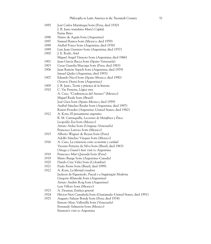| 1895 | José Carlos Mariátegui born (Peru; died 1930)                   |
|------|-----------------------------------------------------------------|
|      | J. B. Justo translates Marx's Capital.                          |
|      | Farías Brito                                                    |
| 1896 | Nimio de Aquín born (Argentina)                                 |
| 1897 | Samuel Ramos born (Mexico; died 1959)                           |
| 1898 | Aníbal Ponce born (Argentina; died 1938)                        |
| 1899 | Luis Juan Guerrero born (Argentina; died 1957)                  |
| 1900 | J. E. Rodó, Ariel                                               |
|      | Miguel Angel Virasoro born (Argentina; died 1966)               |
| 1901 | Juan García Bacca born (Spain-Venezuela)                        |
| 1903 | Cesar Guardia Mayorga born (Peru; died 1983)                    |
| 1906 | Juan Ramón Sepich born (Argentina; died 1979)                   |
|      | Ismael Quiles (Argentina; died 1993)                            |
| 1907 | Eduardo Nicol born (Spain-Mexico; died 1990)                    |
|      | Octavio Derisi born (Argentina;)                                |
| 1909 | J. B. Justo, Teoría y práctica de la historia                   |
| 1910 | C. Vaz Ferreira, Lógica viva                                    |
|      | A. Caso, "Conferencia del Ateneo" (Mexico)                      |
|      | Miguel Reale born (Brazil)                                      |
|      | José Gaos born (Spain-Mexico; died 1959)                        |
|      | Aníbal Sánchez Reulet born (Argentina; died 1997)               |
|      | Risieri Frondizi (Argentina–United States; died 1982)           |
| 1912 | A. Korn, El pensamiento argentino                               |
|      | R. M. Carrasquilla, Lecciones de Metafísica y Ética.            |
|      | Leopoldo Zea born (Mexico)                                      |
|      | Arturo Ardao born (Uruguay-Venezuela)                           |
|      | Francisco Larroyo born (Mexico)                                 |
| 1915 | Alberto Wagner de Reyna born (Peru)                             |
|      | Adolfo Sánchez Vázquez born (Mexico)                            |
| 1916 | A. Caso, La existencia como economía y caridad                  |
|      | Vicente Ferreira da Silva born (Brazil; died 1963)              |
|      | Ortega y Gasset's first visit to Argentina                      |
| 1918 | Francisco Miró Quesada born (Peru)                              |
| 1919 | Mario Bunge born (Argentina-Canada)                             |
| 1920 | Danilo Cruz Vélez born (Colombia)                               |
| 1921 | Paulo Freire born (Brazil; died 1999)                           |
| 1922 | A. Korn, La libertad creadora                                   |
|      | Jackson de Figueiredo, Pascal e a Inquietação Moderna           |
|      | Gregorio Klimoski born (Argentina)                              |
|      | Arturo Andrés Roig born (Argentina)                             |
|      | Luis Villoro born (Mexico)                                      |
| 1923 | A. Deustua, Estética general                                    |
| 1924 | Héctor-Neri Castañeda born (Guatamala-United States; died 1991) |
| 1925 | Augusto Salazar Bondy born (Peru; died 1974)                    |
|      | Ernesto Mayz Vallenilla born (Venezuela)                        |
|      | Fernando Salmerón born (Mexico)                                 |
|      | Einstein's visit to Argentina                                   |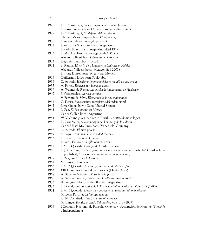| 52           | <b>Enrique Dussel</b>                                                                                        |
|--------------|--------------------------------------------------------------------------------------------------------------|
| 1928         | J. C. Mariátegui, Siete ensayos de la realidad peruana<br>Ernesto Guevara born (Argentina–Cuba; died 1967)   |
| 1929         | J. C. Mariátegui, En defensa del marxismo                                                                    |
|              | Thomas Moro Simpson born (Argentina)                                                                         |
| 1930         | Eduardo Rabossi born (Argentina)                                                                             |
| 1931         | Juan Carlos Scannone born (Argentina)                                                                        |
|              | Rodolfo Kusch born (Argentina; died 1979)                                                                    |
| 1932         | E. Martínez Estrada, Radiografía de la Pampa                                                                 |
|              | Alejandro Rossi born (Venezuela–Mexico)                                                                      |
| 1933         | Hugo Assmann born (Brazil)                                                                                   |
| 1934         | S. Ramos, El Perfil del Hombre y la Cultura en México                                                        |
|              | Abelardo Villegas born (Mexico; died 2001)                                                                   |
|              | Enrique Dussel born (Argentina-Mexico)                                                                       |
| 1935         | Guillermo Hoyos born (Colombia)                                                                              |
| 1936<br>1937 | C. Astrada, Idealismo fenomenológico y metafísica existencial                                                |
| 1939         | A. Ponce, Educación y lucha de clases                                                                        |
| 1940         | A. Wagner de Reyna, La ontología fundamental de Heidegger<br>J. Vasconcelos, La raza cósmica                 |
|              | V. Ferreira da Silva, Elementos de lógica matemática                                                         |
| 1941         | O. Derisi, Fundamentos metafísicos del orden moral                                                           |
| 1942         | Jorge Gracia born (Cuba–United States)                                                                       |
| 1943         | L. Zea, El Positivismo en México                                                                             |
|              | Carlos Cullen born (Argentina)                                                                               |
| 1944         | W. V. Quine gives lectures in Brazil: O sentido da nova lógica                                               |
| 1946         | D. Cruz Vélez, Nueva imagen del hombre y de la cultura                                                       |
|              | Carlos Ulises Moulines born (Venezuela-Germany)                                                              |
| 1948         | C. Astrada, El mito gaucho                                                                                   |
| 1949         | S. Bagú, Economía de la sociedad colonial                                                                    |
| 1952         | F. Romero, Teoría del Hombre                                                                                 |
|              | J. Gaos, En torno a la filosofía mexicana                                                                    |
| 1955         | F. Miró Quesada, Filosofía de las Matemáticas                                                                |
| 1956         | L. J. Guerrero, Estética operatoria en sus tres dimensiones, Vols. 1–3 (third volume                         |
|              | unpublished, Lo mejor de la ontología latinoamericana)                                                       |
| 1957         | L. Zea, América en la historia                                                                               |
| 1961         | M. Bunge, Causalidad                                                                                         |
| 1962         | F. Miró Quesada, Apuntes para una teoría de la razón                                                         |
| 1963         | XIII Congreso Mundial de Filosofía (Mexico City)                                                             |
| 1967         | A. Sánchez Vázquez, Filosofía de la praxis                                                                   |
| 1968<br>1972 | A. Salazar Bondy, ¿Existe una filosofía en nuestra América?<br>II Congreso Nacional de Filosofía (Argentina) |
| 1973         | E. Dussel, Para una ética de la liberación latinoamericana, Vols. 1-5 (1980)                                 |
| 1974         | F. Miró Quesada, Despertar y proyecto del filosofar latinoamericano                                          |
|              | M. León Portilla, La filosofía náhuatl                                                                       |
|              | H.-N. Castañeda, The Structure of Morality                                                                   |
|              | M. Bunge, Treatise of Basic Philosophy, Vols 1-8 (1989)                                                      |
| 1975         | I Coloquio Nacional de Filosofía (Mexico): Declaración de Morelia: "Filosofía                                |
|              | e Independencia"                                                                                             |